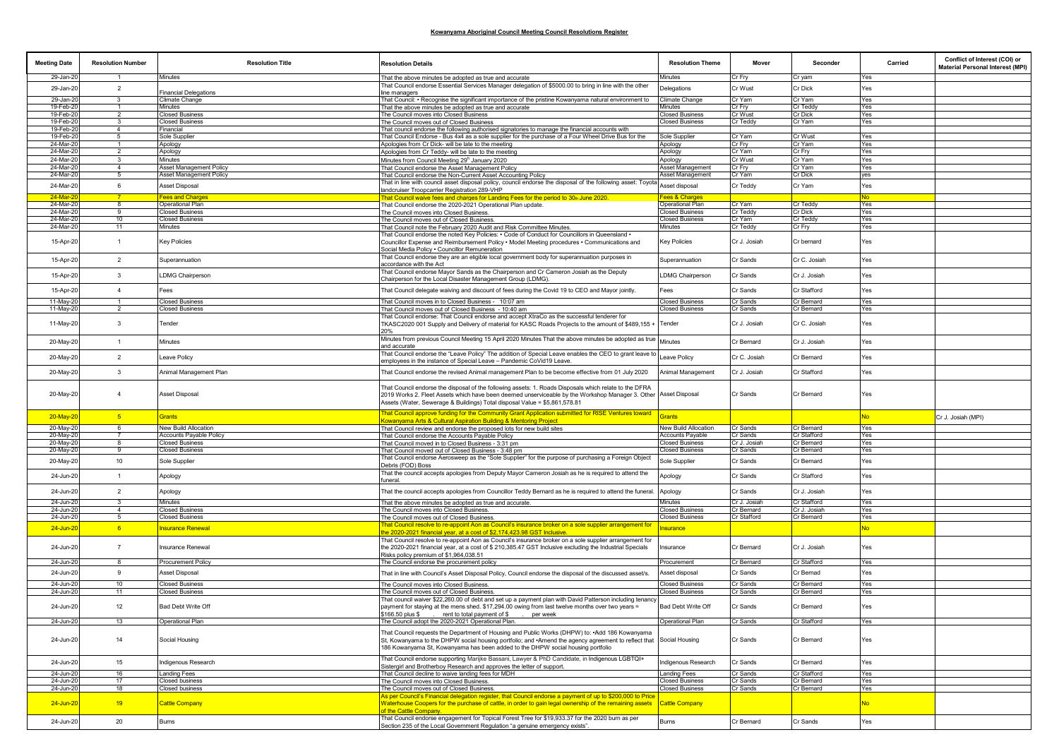| <b>Meeting Date</b>    | <b>Resolution Number</b>         | <b>Resolution Title</b>                                  | <b>Resolution Details</b>                                                                                                                                                                                                                                                                               | <b>Resolution Theme</b>                           | Mover                    | Seconder                  | Carried    | Conflict of Interest (COI) or<br><b>Material Personal Interest (MPI)</b> |
|------------------------|----------------------------------|----------------------------------------------------------|---------------------------------------------------------------------------------------------------------------------------------------------------------------------------------------------------------------------------------------------------------------------------------------------------------|---------------------------------------------------|--------------------------|---------------------------|------------|--------------------------------------------------------------------------|
| 29-Jan-20              | -1                               | Minutes                                                  | That the above minutes be adopted as true and accurate                                                                                                                                                                                                                                                  | Minutes                                           | Cr Fry                   | Cr yam                    | Yes        |                                                                          |
| 29-Jan-20              | $\overline{2}$                   | <b>Financial Delegations</b>                             | That Council endorse Essential Services Manager delegation of \$5000.00 to bring in line with the other<br>line managers                                                                                                                                                                                | Delegations                                       | Cr Wust                  | Cr Dick                   | Yes        |                                                                          |
| 29-Jan-20              | 3                                | Climate Change                                           | That Council: • Recognise the significant importance of the pristine Kowanyama natural environment to                                                                                                                                                                                                   | Climate Change                                    | Cr Yam                   | Cr Yam                    | Yes        |                                                                          |
| 19-Feb-20              |                                  | Minutes                                                  | That the above minutes be adopted as true and accurate                                                                                                                                                                                                                                                  | <b>Minutes</b>                                    | Cr Fry                   | Cr Teddy                  | Yes        |                                                                          |
| 19-Feb-20<br>19-Feb-20 |                                  | <b>Closed Business</b><br><b>Closed Business</b>         | The Council moves into Closed Business<br>The Council moves out of Closed Business                                                                                                                                                                                                                      | <b>Closed Business</b><br><b>Closed Business</b>  | Cr Wust<br>Cr Teddy      | Cr Dick<br>Cr Yam         | Yes<br>Yes |                                                                          |
| 19-Feb-20              | 4                                | Financial                                                | That council endorse the following authorised signatories to manage the financial accounts with                                                                                                                                                                                                         |                                                   |                          |                           |            |                                                                          |
| 19-Feb-20              |                                  | Sole Supplier                                            | That Council Endorse - Bus 4x4 as a sole supplier for the purchase of a Four Wheel Drive Bus for the                                                                                                                                                                                                    | Sole Supplier                                     | Cr Yam                   | Cr Wust                   | Yes        |                                                                          |
| 24-Mar-20              | $\overline{2}$                   | Apology                                                  | Apologies from Cr Dick- will be late to the meeting                                                                                                                                                                                                                                                     | Apology                                           | Cr Fry                   | Cr Yam                    | Yes        |                                                                          |
| 24-Mar-20<br>24-Mar-20 | 3                                | Apology<br>Minutes                                       | Apologies from Cr Teddy- will be late to the meeting<br>Minutes from Council Meeting 29 <sup>h</sup> January 2020                                                                                                                                                                                       | Apology<br>Apology                                | Cr Yam<br>Cr Wust        | Cr Fry<br>Cr Yam          | Yes<br>Yes |                                                                          |
| 24-Mar-20              | $\overline{4}$                   | Asset Management Policy                                  | That Council endorse the Asset Management Policy                                                                                                                                                                                                                                                        | Asset Management                                  | Cr Fry                   | Cr Yam                    | Yes        |                                                                          |
| 24-Mar-20              |                                  | Asset Management Policy                                  | That Council endorse the Non-Current Asset Accounting Policy                                                                                                                                                                                                                                            | Asset Management                                  | Cr Yam                   | Cr Dick                   | ves        |                                                                          |
| 24-Mar-20              | 6                                | Asset Disposal                                           | That in line with council asset disposal policy, council endorse the disposal of the following asset: Toyota                                                                                                                                                                                            | Asset disposal                                    | Cr Teddy                 | Cr Yam                    | Yes        |                                                                          |
| $24-Mar-2$             |                                  | Fees and Charges                                         | andcruiser Troopcarrier Registration 289-VHP<br>That Council waive fees and charges for Landing Fees for the period to 30th June 2020.                                                                                                                                                                  | ees & Charges                                     |                          |                           | No         |                                                                          |
| 24-Mar-20              |                                  | Operational Plan                                         | That Council endorse the 2020-2021 Operational Plan update.                                                                                                                                                                                                                                             | Operational Plan                                  | Cr Yam                   | Cr Teddy                  | Yes        |                                                                          |
| 24-Mar-20              |                                  | <b>Closed Business</b>                                   | The Council moves into Closed Business.                                                                                                                                                                                                                                                                 | <b>Closed Business</b>                            | Cr Teddy                 | Cr Dick                   | Yes        |                                                                          |
| 24-Mar-20<br>24-Mar-20 | 10<br>11                         | <b>Closed Business</b><br>Minutes                        | The Council moves out of Closed Business.<br>That Council note the February 2020 Audit and Risk Committee Minutes.                                                                                                                                                                                      | <b>Closed Business</b><br>Minutes                 | Cr Yam<br>Cr Teddy       | Cr Teddy<br>Cr Fry        | Yes<br>Yes |                                                                          |
|                        |                                  |                                                          | Fhat Council endorse the noted Key Policies: • Code of Conduct for Councillors in Queensland •                                                                                                                                                                                                          |                                                   |                          |                           |            |                                                                          |
| 15-Apr-20              | $\overline{1}$                   | <b>Key Policies</b>                                      | Councillor Expense and Reimbursement Policy • Model Meeting procedures • Communications and<br>Social Media Policy . Councillor Remuneration                                                                                                                                                            | <b>Key Policies</b>                               | Cr J. Josiah             | Cr bernard                | Yes        |                                                                          |
| 15-Apr-20              | $\overline{2}$                   | Superannuation                                           | That Council endorse they are an eligible local government body for superannuation purposes in<br>accordance with the Act                                                                                                                                                                               | Superannuation                                    | Cr Sands                 | Cr C. Josiah              | Yes        |                                                                          |
| 15-Apr-20              | 3                                | <b>LDMG Chairperson</b>                                  | That Council endorse Mayor Sands as the Chairperson and Cr Cameron Josiah as the Deputy<br>Chairperson for the Local Disaster Management Group (LDMG).                                                                                                                                                  | <b>LDMG Chairperson</b>                           | Cr Sands                 | Cr J. Josiah              | Yes        |                                                                          |
| 15-Apr-20              | $\overline{4}$<br>$\overline{1}$ | Fees<br><b>Closed Business</b>                           | That Council delegate waiving and discount of fees during the Covid 19 to CEO and Mayor jointly.                                                                                                                                                                                                        | Fees                                              | Cr Sands                 | Cr Stafford               | Yes        |                                                                          |
| 11-May-20<br>11-May-20 | $\overline{2}$                   | <b>Closed Business</b>                                   | That Council moves in to Closed Business - 10:07 am<br>That Council moves out of Closed Business - 10:40 am                                                                                                                                                                                             | <b>Closed Business</b><br><b>Closed Business</b>  | Cr Sands<br>Cr Sands     | Cr Bernard<br>Cr Bernard  | Yes<br>Yes |                                                                          |
|                        |                                  |                                                          | That Council endorse: That Council endorse and accept XtraCo as the successful tenderer for                                                                                                                                                                                                             |                                                   |                          |                           |            |                                                                          |
| 11-May-20              | 3                                | Tender                                                   | TKASC2020 001 Supply and Delivery of material for KASC Roads Projects to the amount of \$489,155 +<br>20%                                                                                                                                                                                               | Tender                                            | Cr J. Josiah             | Cr C. Josiah              | Yes        |                                                                          |
| 20-May-20              | $\overline{1}$                   | Minutes                                                  | Minutes from previous Council Meeting 15 April 2020 Minutes That the above minutes be adopted as true<br>and accurate                                                                                                                                                                                   | Minutes                                           | Cr Bernard               | Cr J. Josiah              | Yes        |                                                                          |
| 20-May-20              | $\overline{2}$                   | Leave Policy                                             | That Council endorse the "Leave Policy" The addition of Special Leave enables the CEO to grant leave to<br>employees in the instance of Special Leave - Pandemic CoVid19 Leave.                                                                                                                         | Leave Policy                                      | Cr C. Josiah             | Cr Bernard                | Yes        |                                                                          |
| 20-May-20              | $\mathbf{3}$                     | Animal Management Plan                                   | That Council endorse the revised Animal management Plan to be become effective from 01 July 2020                                                                                                                                                                                                        | Animal Management                                 | Cr J. Josiah             | Cr Stafford               | Yes        |                                                                          |
| 20-May-20              | $\overline{4}$                   | Asset Disposal                                           | That Council endorse the disposal of the following assets: 1. Roads Disposals which relate to the DFRA<br>2019 Works 2. Fleet Assets which have been deemed unserviceable by the Workshop Manager 3. Other Asset Disposal<br>Assets (Water, Sewerage & Buildings) Total disposal Value = \$5,861,578.81 |                                                   | Cr Sands                 | Cr Bernard                | Yes        |                                                                          |
| 20-May-20              | 5                                | <b>Grants</b>                                            | That Council approve funding for the Community Grant Application submitted for RISE Ventures toward<br><b>Kowanyama Arts &amp; Cultural Aspiration Building &amp; Mentoring Project</b>                                                                                                                 | Grants                                            |                          |                           | <b>No</b>  | Cr J. Josiah (MPI)                                                       |
| 20-May-20              | -6                               | New Build Allocation                                     | That Council review and endorse the proposed lots for new build sites                                                                                                                                                                                                                                   | New Build Allocation                              | Cr Sands                 | Cr Bernard                | Yes        |                                                                          |
| 20-May-20<br>20-May-20 |                                  | <b>Accounts Payable Policy</b><br><b>Closed Business</b> | That Council endorse the Accounts Payable Policy<br>That Council moved in to Closed Business - 3:31 pm                                                                                                                                                                                                  | <b>Accounts Payable</b><br><b>Closed Business</b> | Cr Sands<br>Cr J. Josiah | Cr Stafford<br>Cr Bernard | Yes<br>Yes |                                                                          |
| 20-May-20              | 9                                | <b>Closed Business</b>                                   | That Council moved out of Closed Business - 3:48 pm                                                                                                                                                                                                                                                     | <b>Closed Business</b>                            | Cr Sands                 | Cr Bernard                | Yes        |                                                                          |
| 20-May-20              | 10                               | Sole Supplier                                            | That Council endorse Aerosweep as the "Sole Supplier" for the purpose of purchasing a Foreign Object                                                                                                                                                                                                    | Sole Supplier                                     | Cr Sands                 | Cr Bernard                | Yes        |                                                                          |
|                        |                                  |                                                          | Debris (FOD) Boss                                                                                                                                                                                                                                                                                       |                                                   |                          |                           |            |                                                                          |
| 24-Jun-20              | $\overline{1}$                   | Apology                                                  | That the council accepts apologies from Deputy Mayor Cameron Josiah as he is required to attend the<br>funeral                                                                                                                                                                                          | Apology                                           | Cr Sands                 | Cr Stafford               | Yes        |                                                                          |
| 24-Jun-20              | $\overline{2}$                   | Apology                                                  | That the council accepts apologies from Councillor Teddy Bernard as he is required to attend the funeral.                                                                                                                                                                                               | Apology                                           | Cr Sands                 | Cr J. Josiah              | Yes        |                                                                          |
| 24-Jun-20              |                                  | Minutes                                                  | That the above minutes be adopted as true and accurate.                                                                                                                                                                                                                                                 | Minutes                                           | Cr J. Josiah             | Cr Stafford               | Yes        |                                                                          |
| 24-Jun-20              | $\mathbf{A}$                     | <b>Closed Business</b>                                   | The Council moves into Closed Business.                                                                                                                                                                                                                                                                 | <b>Closed Business</b>                            | Cr Bernard               | Cr J. Josiah              | Yes        |                                                                          |
| 24-Jun-20              | -5                               | <b>Closed Business</b>                                   | The Council moves out of Closed Business.<br>That Council resolve to re-appoint Aon as Council's insurance broker on a sole supplier arrangement for                                                                                                                                                    | <b>Closed Business</b>                            | Cr Stafford              | Cr Bernard                | Yes        |                                                                          |
| 24-Jun-20              | 6                                | <b>Insurance Renewal</b>                                 | he 2020-2021 financial year, at a cost of \$2,174,423.98 GST Inclusive.                                                                                                                                                                                                                                 | nsurance                                          |                          |                           | No         |                                                                          |
| 24-Jun-20              | $\overline{7}$                   | Insurance Renewal                                        | That Council resolve to re-appoint Aon as Council's insurance broker on a sole supplier arrangement for<br>the 2020-2021 financial year, at a cost of \$ 210,385.47 GST Inclusive excluding the Industrial Specials                                                                                     | Insurance                                         | Cr Bernard               | Cr J. Josiah              | Yes        |                                                                          |
| 24-Jun-20              | 8                                | Procurement Policy                                       | Risks policy premium of \$1,964,038.51<br>The Council endorse the procurement policy                                                                                                                                                                                                                    | Procurement                                       | Cr Bernard               | Cr Stafford               | Yes        |                                                                          |
| 24-Jun-20              | 9                                |                                                          |                                                                                                                                                                                                                                                                                                         | Asset disposal                                    | Cr Sands                 | Cr Bernad                 | Yes        |                                                                          |
|                        |                                  | Asset Disposal                                           | That in line with Council's Asset Disposal Policy, Council endorse the disposal of the discussed asset/s.                                                                                                                                                                                               |                                                   |                          |                           |            |                                                                          |
| 24-Jun-20<br>24-Jun-20 | 10<br>11                         | <b>Closed Business</b><br><b>Closed Business</b>         | The Council moves into Closed Business.<br>The Council moves out of Closed Business.                                                                                                                                                                                                                    | <b>Closed Business</b><br><b>Closed Business</b>  | Cr Sands<br>Cr Sands     | Cr Bernard<br>Cr Bernard  | Yes<br>Yes |                                                                          |
|                        |                                  |                                                          | That council waiver \$22,260.00 of debt and set up a payment plan with David Patterson including tenancy                                                                                                                                                                                                |                                                   |                          |                           |            |                                                                          |
| 24-Jun-20              | 12                               | Bad Debt Write Off                                       | payment for staying at the mens shed. \$17,294.00 owing from last twelve months over two years =<br>\$166.50 plus \$rent to total payment of \$per week                                                                                                                                                 | Bad Debt Write Off                                | Cr Sands                 | Cr Bernard                | Yes        |                                                                          |
| 24-Jun-20              | 13                               | Operational Plan                                         | The Council adopt the 2020-2021 Operational Plan.                                                                                                                                                                                                                                                       | Operational Plan                                  | Cr Sands                 | Cr Stafford               | Yes        |                                                                          |
| 24-Jun-20              | 14                               | Social Housing                                           | That Council requests the Department of Housing and Public Works (DHPW) to: • Add 186 Kowanyama<br>St, Kowanyama to the DHPW social housing portfolio; and Amend the agency agreement to reflect that Social Housing<br>186 Kowanyama St. Kowanyama has been added to the DHPW social housing portfolio |                                                   | Cr Sands                 | Cr Bernard                | Yes        |                                                                          |
| 24-Jun-20              | 15                               | Indigenous Research                                      | That Council endorse supporting Marijke Bassani, Lawyer & PhD Candidate, in Indigenous LGBTQI+<br>Sistergirl and Brotherboy Research and approves the letter of support.                                                                                                                                | Indigenous Research                               | Cr Sands                 | Cr Bernard                | Yes        |                                                                          |
| 24-Jun-20              | 16                               | <b>Landing Fees</b>                                      | That Council decline to waive landing fees for MDH                                                                                                                                                                                                                                                      | <b>Landing Fees</b>                               | Cr Sands                 | Cr Stafford               | Yes        |                                                                          |
| 24-Jun-20<br>24-Jun-20 | 17<br>18                         | <b>Closed business</b><br><b>Closed business</b>         | The Council moves into Closed Business.<br>The Council moves out of Closed Business.                                                                                                                                                                                                                    | <b>Closed Business</b><br><b>Closed Business</b>  | Cr Sands<br>Cr Sands     | Cr Bernard<br>Cr Bernard  | Yes<br>Yes |                                                                          |
|                        |                                  |                                                          | As per Council's Financial delegation register, that Council endorse a payment of up to \$200,000 to Price                                                                                                                                                                                              |                                                   |                          |                           |            |                                                                          |
| 24-Jun-20              | 19                               | <b>Cattle Company</b>                                    | Waterhouse Coopers for the purchase of cattle, in order to gain legal ownership of the remaining assets<br>of the Cattle Company.                                                                                                                                                                       | <b>Cattle Company</b>                             |                          |                           | ٧õ         |                                                                          |
| 24-Jun-20              | 20                               | <b>Burns</b>                                             | That Council endorse engagement for Topical Forest Tree for \$19,933.37 for the 2020 burn as per<br>Section 235 of the Local Government Regulation "a genuine emergency exists".                                                                                                                        | Burns                                             | Cr Bernard               | Cr Sands                  | Yes        |                                                                          |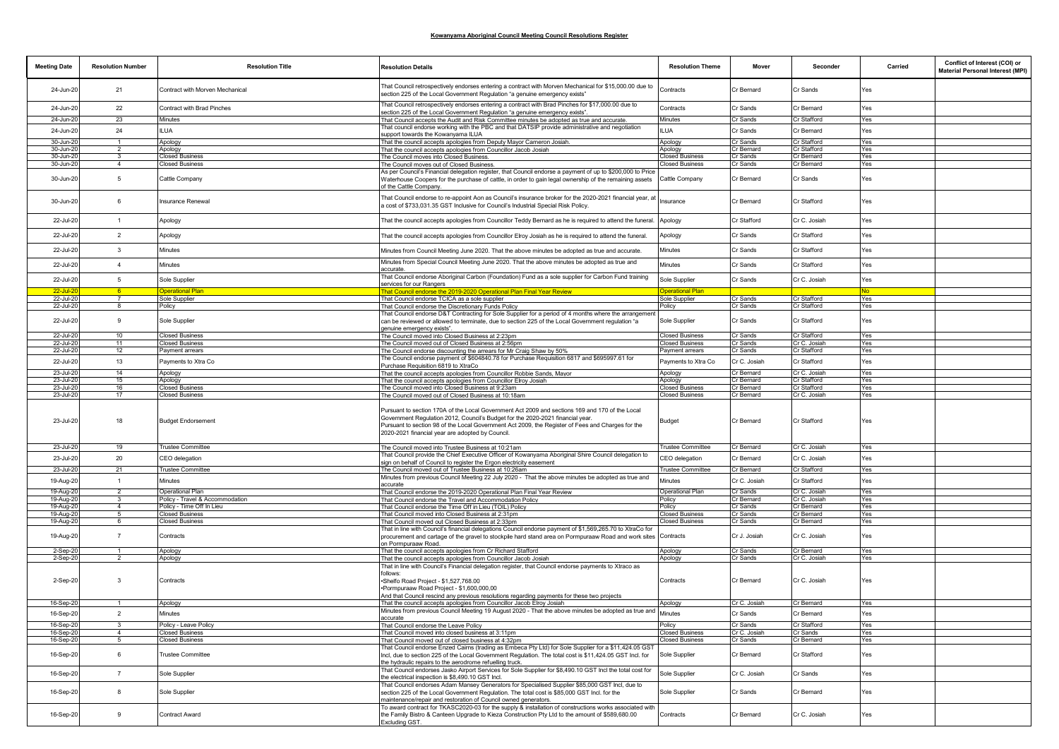| <b>Meeting Date</b>    | <b>Resolution Number</b>       | <b>Resolution Title</b>                                      | <b>Resolution Details</b>                                                                                                                                                                                                                                                                                                                  | <b>Resolution Theme</b>                          | Mover                    | Seconder                     | Carried    | Conflict of Interest (COI) or<br>Material Personal Interest (MPI) |
|------------------------|--------------------------------|--------------------------------------------------------------|--------------------------------------------------------------------------------------------------------------------------------------------------------------------------------------------------------------------------------------------------------------------------------------------------------------------------------------------|--------------------------------------------------|--------------------------|------------------------------|------------|-------------------------------------------------------------------|
| 24-Jun-20              | 21                             | Contract with Morven Mechanical                              | That Council retrospectively endorses entering a contract with Morven Mechanical for \$15,000.00 due to<br>section 225 of the Local Government Regulation "a genuine emergency exists"                                                                                                                                                     | Contracts                                        | Cr Bernard               | Cr Sands                     | Yes        |                                                                   |
| 24-Jun-20              | 22                             | Contract with Brad Pinches                                   | That Council retrospectively endorses entering a contract with Brad Pinches for \$17,000.00 due to<br>section 225 of the Local Government Regulation "a genuine emergency exists".                                                                                                                                                         | Contracts                                        | Cr Sands                 | Cr Bernard                   | Yes        |                                                                   |
| 24-Jun-20              | 23                             | Minutes                                                      | That Council accepts the Audit and Risk Committee minutes be adopted as true and accurate.                                                                                                                                                                                                                                                 | Minutes                                          | Cr Sands                 | Cr Stafford                  | Yes        |                                                                   |
| 24-Jun-20              | 24                             | <b>ILUA</b>                                                  | That council endorse working with the PBC and that DATSIP provide administrative and negotiation                                                                                                                                                                                                                                           | <b>ILUA</b>                                      | Cr Sands                 | Cr Bernard                   | Yes        |                                                                   |
|                        |                                |                                                              | support towards the Kowanyama ILUA                                                                                                                                                                                                                                                                                                         |                                                  |                          |                              |            |                                                                   |
| 30-Jun-2<br>30-Jun-2   |                                | Apology<br>Apology                                           | That the council accepts apologies from Deputy Mayor Cameron Josiah.<br>That the council accepts apologies from Councillor Jacob Josiah                                                                                                                                                                                                    | Apology<br>Apology                               | Cr Sands<br>Cr Bernard   | Cr Stafford<br>Cr Stafford   | Yes<br>Yes |                                                                   |
| 30-Jun-20              | 3                              | <b>Closed Business</b>                                       | The Council moves into Closed Business.                                                                                                                                                                                                                                                                                                    | <b>Closed Business</b>                           | Cr Sands                 | Cr Bernard                   | Yes        |                                                                   |
| 30-Jun-20              | $\overline{4}$                 | <b>Closed Business</b>                                       | The Council moves out of Closed Business.                                                                                                                                                                                                                                                                                                  | <b>Closed Business</b>                           | Cr Sands                 | Cr Bernard                   | Yes        |                                                                   |
| 30-Jun-20              | 5                              | Cattle Company                                               | As per Council's Financial delegation register, that Council endorse a payment of up to \$200,000 to Price<br>Waterhouse Coopers for the purchase of cattle, in order to gain legal ownership of the remaining assets<br>of the Cattle Company.                                                                                            | Cattle Company                                   | Cr Bernard               | Cr Sands                     | Yes        |                                                                   |
| 30-Jun-20              | 6                              | Insurance Renewal                                            | That Council endorse to re-appoint Aon as Council's insurance broker for the 2020-2021 financial year, at<br>a cost of \$733,031.35 GST Inclusive for Council's Industrial Special Risk Policy.                                                                                                                                            | Insurance                                        | Cr Bernard               | Cr Stafford                  | Yes        |                                                                   |
| 22-Jul-20              | $\overline{1}$                 | Apology                                                      | That the council accepts apologies from Councillor Teddy Bernard as he is required to attend the funeral.                                                                                                                                                                                                                                  | Apology                                          | Cr Stafford              | Cr C. Josiah                 | Yes        |                                                                   |
| 22-Jul-20              | $\overline{2}$                 | Apology                                                      | That the council accepts apologies from Councillor Elroy Josiah as he is required to attend the funeral.                                                                                                                                                                                                                                   | Apology                                          | Cr Sands                 | Cr Stafford                  | Yes        |                                                                   |
| 22-Jul-20              | 3                              | Minutes                                                      | Minutes from Council Meeting June 2020. That the above minutes be adopted as true and accurate.                                                                                                                                                                                                                                            | Minutes                                          | Cr Sands                 | Cr Stafford                  | Yes        |                                                                   |
| 22-Jul-20              | $\mathbf{A}$                   | Minutes                                                      | Minutes from Special Council Meeting June 2020. That the above minutes be adopted as true and<br>accurate.                                                                                                                                                                                                                                 | Minutes                                          | Cr Sands                 | Cr Stafford                  | Yes        |                                                                   |
| 22-Jul-20              | $\sqrt{5}$                     | Sole Supplier                                                | That Council endorse Aboriginal Carbon (Foundation) Fund as a sole supplier for Carbon Fund training<br>services for our Rangers                                                                                                                                                                                                           | Sole Supplier                                    | Cr Sands                 | Cr C. Josiah                 | Yes        |                                                                   |
| 22-Jul-20<br>22-Jul-20 |                                | <b>Operational Plan</b><br>Sole Supplier                     | That Council endorse the 2019-2020 Operational Plan Final Year Review<br>That Council endorse TCICA as a sole supplier                                                                                                                                                                                                                     | <b>Operational Plan</b><br>Sole Supplier         | Cr Sands                 | Cr Stafford                  | No.<br>Yes |                                                                   |
| 22-Jul-20              |                                | Policy                                                       | That Council endorse the Discretionary Funds Policy                                                                                                                                                                                                                                                                                        | Policy                                           | Cr Sands                 | Cr Stafford                  | Yes        |                                                                   |
| 22-Jul-20              | 9                              | Sole Supplier                                                | That Council endorse D&T Contracting for Sole Supplier for a period of 4 months where the arrangement<br>can be reviewed or allowed to terminate, due to section 225 of the Local Government regulation "a<br>genuine emergency exists".                                                                                                   | Sole Supplier                                    | Cr Sands                 | Cr Stafford                  | Yes        |                                                                   |
| 22-Jul-20              | 10                             | <b>Closed Business</b>                                       | The Council moved into Closed Business at 2:23pm                                                                                                                                                                                                                                                                                           | <b>Closed Business</b>                           | Cr Sands                 | Cr Stafford                  | Yes        |                                                                   |
| 22-Jul-20              | 11                             | <b>Closed Business</b>                                       | The Council moved out of Closed Business at 2:56pm                                                                                                                                                                                                                                                                                         | <b>Closed Business</b>                           | Cr Sands                 | Cr C. Josiah                 | Yes        |                                                                   |
| 22-Jul-20              | 12                             | Payment arrears                                              | The Council endorse discounting the arrears for Mr Craig Shaw by 50%                                                                                                                                                                                                                                                                       | Payment arrears                                  | Cr Sands                 | Cr Stafford                  | Yes        |                                                                   |
| 22-Jul-20              | 13                             | Payments to Xtra Co                                          | The Council endorse payment of \$604840.78 for Purchase Requisition 6817 and \$695997.61 for<br>Purchase Requisition 6819 to XtraCo                                                                                                                                                                                                        | Payments to Xtra Co                              | Cr C. Josiah             | Cr Stafford                  | Yes        |                                                                   |
| 23-Jul-20              | 14                             | Apology                                                      | That the council accepts apologies from Councillor Robbie Sands, Mayor                                                                                                                                                                                                                                                                     | Apology                                          | Cr Bernard               | Cr C. Josiah                 | Yes        |                                                                   |
| 23-Jul-20              | 15                             | Apology                                                      | That the council accepts apologies from Councillor Elroy Josiah                                                                                                                                                                                                                                                                            | Apology                                          | Cr Bernard               | Cr Stafford                  | Yes        |                                                                   |
| 23-Jul-20<br>23-Jul-20 | 16<br>17                       | <b>Closed Business</b><br><b>Closed Business</b>             | The Council moved into Closed Business at 9:23am<br>The Council moved out of Closed Business at 10:18am                                                                                                                                                                                                                                    | <b>Closed Business</b><br><b>Closed Business</b> | Cr Bernard<br>Cr Bernard | Cr Stafford<br>Cr C. Josiah  | Yes<br>Yes |                                                                   |
| 23-Jul-20              | 18                             | <b>Budget Endorsement</b>                                    | Pursuant to section 170A of the Local Government Act 2009 and sections 169 and 170 of the Local<br>Government Regulation 2012, Council's Budget for the 2020-2021 financial year.<br>Pursuant to section 98 of the Local Government Act 2009, the Register of Fees and Charges for the<br>2020-2021 financial year are adopted by Council. | <b>Budget</b>                                    | Cr Bernard               | Cr Stafford                  | Yes        |                                                                   |
| 23-Jul-20              | 19                             | Trustee Committee                                            | The Council moved into Trustee Business at 10:21am                                                                                                                                                                                                                                                                                         | Trustee Committee                                | Cr Bernard               | Cr C. Josiah                 | Yes        |                                                                   |
| 23-Jul-20              | 20                             | CEO delegation                                               | That Council provide the Chief Executive Officer of Kowanyama Aboriginal Shire Council delegation to                                                                                                                                                                                                                                       | CEO delegation                                   | Cr Bernard               | Cr C. Josiah                 | Yes        |                                                                   |
| 23-Jul-20              | 21                             | <b>Trustee Committee</b>                                     | sign on behalf of Council to register the Ergon electricity easement<br>The Council moved out of Trustee Business at 10:26am                                                                                                                                                                                                               | <b>Trustee Committee</b>                         | Cr Bernard               | Cr Stafford                  | Yes        |                                                                   |
|                        |                                |                                                              | Minutes from previous Council Meeting 22 July 2020 - That the above minutes be adopted as true and                                                                                                                                                                                                                                         |                                                  |                          |                              |            |                                                                   |
| 19-Aug-20              | $\mathbf{1}$                   | Minutes                                                      | accurate                                                                                                                                                                                                                                                                                                                                   | Minutes                                          | Cr C. Josiah             | Cr Stafford                  | Yes        |                                                                   |
| 19-Aug-20              | $\overline{2}$                 | Operational Plan                                             | That Council endorse the 2019-2020 Operational Plan Final Year Review                                                                                                                                                                                                                                                                      | Operational Plan                                 | Cr Sands                 | Cr C. Josiah                 | Yes        |                                                                   |
| 19-Aug-20              | $\mathbf{R}$<br>$\overline{4}$ | Policy - Travel & Accommodation<br>Policy - Time Off In Lieu | That Council endorse the Travel and Accommodation Policy                                                                                                                                                                                                                                                                                   | Policy<br>Policy                                 | Cr Bernard<br>Cr Sands   | Cr C. Josiah<br>Cr Bernard   | Yes<br>Yes |                                                                   |
| 19-Aug-20<br>19-Aug-20 | -5                             | <b>Closed Business</b>                                       | That Council endorse the Time Off in Lieu (TOIL) Policy<br>That Council moved into Closed Business at 2:31pm                                                                                                                                                                                                                               | <b>Closed Business</b>                           | Cr Sands                 | Cr Bernard                   | Yes        |                                                                   |
| 19-Aug-20              | 6                              | <b>Closed Business</b>                                       | That Council moved out Closed Business at 2:33pm                                                                                                                                                                                                                                                                                           | <b>Closed Business</b>                           | Cr Sands                 | Cr Bernard                   | Yes        |                                                                   |
| 19-Aug-20              | $\overline{7}$                 | Contracts                                                    | That in line with Council's financial delegations Council endorse payment of \$1,569,265.70 to XtraCo for<br>procurement and cartage of the gravel to stockpile hard stand area on Pormpuraaw Road and work sites<br>on Pormpuraaw Road.                                                                                                   | Contracts                                        | Cr J. Josiah             | Cr C. Josiah                 | Yes        |                                                                   |
| 2-Sep-20               |                                | Apology                                                      | That the council accepts apologies from Cr Richard Stafford                                                                                                                                                                                                                                                                                | Apology                                          | Cr Sands                 | Cr Bernard                   | Yes        |                                                                   |
| 2-Sep-20<br>2-Sep-20   | 3                              | Apology<br>Contracts                                         | That the council accepts apologies from Councillor Jacob Josiah<br>That in line with Council's Financial delegation register, that Council endorse payments to Xtraco as<br>follows:<br>Shelfo Road Project - \$1,527,768.00<br>Pormpuraaw Road Project - \$1,600,000,00                                                                   | Apology<br>Contracts                             | Cr Sands<br>Cr Bernard   | Cr C. Josiah<br>Cr C. Josiah | Yes<br>Yes |                                                                   |
|                        |                                |                                                              | And that Council rescind any previous resolutions regarding payments for these two projects                                                                                                                                                                                                                                                |                                                  | Cr C. Josiah             | Cr Bernard                   |            |                                                                   |
| 16-Sep-20              |                                | Apology                                                      | That the council accepts apologies from Councillor Jacob Elroy Josiah<br>Minutes from previous Council Meeting 19 August 2020 - That the above minutes be adopted as true and                                                                                                                                                              | Apology                                          |                          |                              | Yes        |                                                                   |
| 16-Sep-20              | $\overline{2}$                 | Minutes                                                      |                                                                                                                                                                                                                                                                                                                                            | Minutes                                          | Cr Sands                 | Cr Bernard                   | Yes        |                                                                   |
| 16-Sep-20              | $\mathbf{R}$                   | Policy - Leave Policy                                        | That Council endorse the Leave Policy                                                                                                                                                                                                                                                                                                      | Policy                                           | Cr Sands                 | Cr Stafford                  | Yes        |                                                                   |
| 16-Sep-20<br>16-Sep-20 | $\overline{4}$                 | <b>Closed Business</b><br><b>Closed Business</b>             | That Council moved into closed business at 3:11pm<br>That Council moved out of closed business at 4:32pm                                                                                                                                                                                                                                   | <b>Closed Business</b><br><b>Closed Business</b> | Cr C. Josiah<br>Cr Sands | Cr Sands<br>Cr Bernard       | Yes<br>Yes |                                                                   |
| 16-Sep-20              | 6                              | <b>Trustee Committee</b>                                     | That Council endorse Enzed Cairns (trading as Embeca Pty Ltd) for Sole Supplier for a \$11,424.05 GST<br>Incl, due to section 225 of the Local Government Regulation. The total cost is \$11,424.05 GST Incl. for<br>the hydraulic repairs to the aerodrome refuelling truck.                                                              | Sole Supplier                                    | Cr Bernard               | Cr Stafford                  | Yes        |                                                                   |
| 16-Sep-20              | $\overline{7}$                 | Sole Supplier                                                | That Council endorses Jasko Airport Services for Sole Supplier for \$8,490.10 GST Incl the total cost for<br>the electrical inspection is \$8,490.10 GST Incl.                                                                                                                                                                             | Sole Supplier                                    | Cr C. Josiah             | Cr Sands                     | Yes        |                                                                   |
| 16-Sep-20              | 8                              | Sole Supplier                                                | That Council endorses Adam Mansey Generators for Specialised Supplier \$85,000 GST Incl, due to<br>section 225 of the Local Government Regulation. The total cost is \$85,000 GST Incl. for the<br>maintenance/repair and restoration of Council owned generators.                                                                         | Sole Supplier                                    | Cr Sands                 | Cr Bernard                   | Yes        |                                                                   |
| 16-Sep-20              | 9                              | Contract Award                                               | To award contract for TKASC2020-03 for the supply & installation of constructions works associated with<br>the Family Bistro & Canteen Upgrade to Kieza Construction Pty Ltd to the amount of \$589,680.00<br>Excluding GST.                                                                                                               | Contracts                                        | Cr Bernard               | Cr C. Josiah                 | Yes        |                                                                   |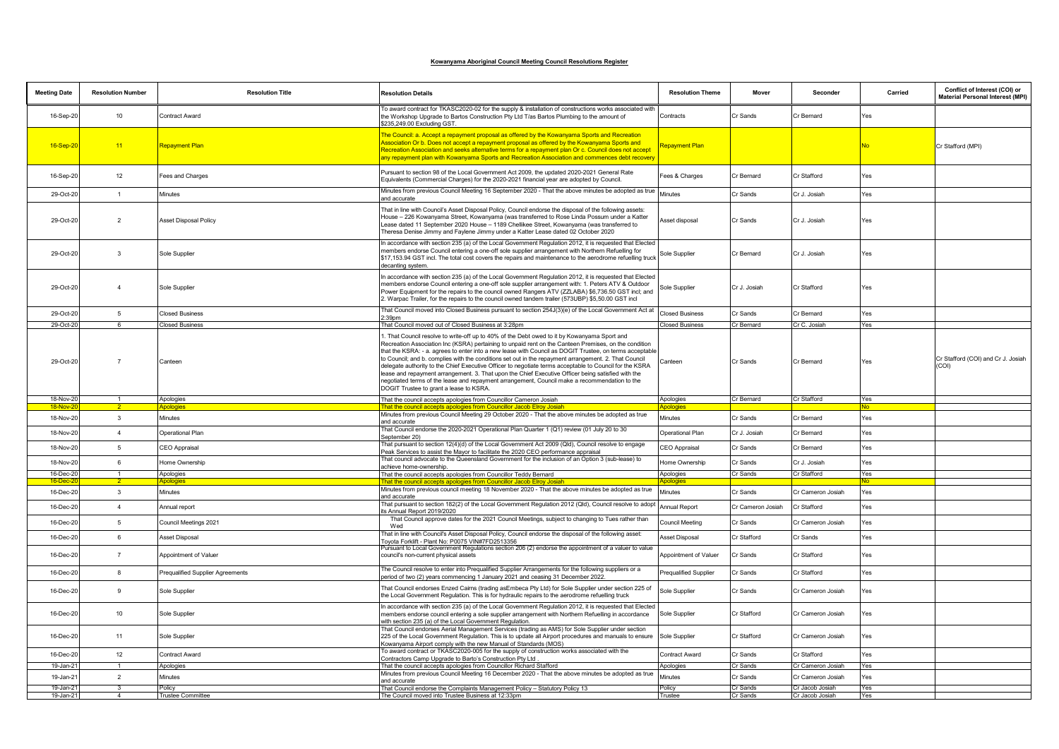| <b>Meeting Date</b>  | <b>Resolution Number</b> | <b>Resolution Title</b>          | <b>Resolution Details</b>                                                                                                                                                                                                                                                                                                                                                                                                                                                                                                                                                                                                                                                                                                                                                             | <b>Resolution Theme</b>      | Mover             | Seconder          | Carried   | Conflict of Interest (COI) or<br>Material Personal Interest (MPI) |
|----------------------|--------------------------|----------------------------------|---------------------------------------------------------------------------------------------------------------------------------------------------------------------------------------------------------------------------------------------------------------------------------------------------------------------------------------------------------------------------------------------------------------------------------------------------------------------------------------------------------------------------------------------------------------------------------------------------------------------------------------------------------------------------------------------------------------------------------------------------------------------------------------|------------------------------|-------------------|-------------------|-----------|-------------------------------------------------------------------|
| 16-Sep-20            | 10 <sup>°</sup>          | Contract Award                   | To award contract for TKASC2020-02 for the supply & installation of constructions works associated with<br>the Workshop Upgrade to Bartos Construction Pty Ltd T/as Bartos Plumbing to the amount of<br>\$235,249.00 Excluding GST.                                                                                                                                                                                                                                                                                                                                                                                                                                                                                                                                                   | Contracts                    | Cr Sands          | Cr Bernard        | Yes       |                                                                   |
| 16-Sep-20            | 11                       | <b>Repayment Plan</b>            | The Council: a. Accept a repayment proposal as offered by the Kowanyama Sports and Recreation<br>Association Or b. Does not accept a repayment proposal as offered by the Kowanyama Sports and<br>Recreation Association and seeks alternative terms for a repayment plan Or c. Council does not accept<br>any repayment plan with Kowanyama Sports and Recreation Association and commences debt recovery                                                                                                                                                                                                                                                                                                                                                                            | <mark>Repayment Plan</mark>  |                   |                   | <b>No</b> | Cr Stafford (MPI)                                                 |
| 16-Sep-20            | 12                       | Fees and Charges                 | Pursuant to section 98 of the Local Government Act 2009, the updated 2020-2021 General Rate<br>Equivalents (Commercial Charges) for the 2020-2021 financial year are adopted by Council.                                                                                                                                                                                                                                                                                                                                                                                                                                                                                                                                                                                              | Fees & Charges               | Cr Bernard        | Cr Stafford       | Yes       |                                                                   |
| 29-Oct-20            | $\mathbf{1}$             | Minutes                          | Minutes from previous Council Meeting 16 September 2020 - That the above minutes be adopted as true<br>and accurate                                                                                                                                                                                                                                                                                                                                                                                                                                                                                                                                                                                                                                                                   | Minutes                      | Cr Sands          | Cr J. Josiah      | Yes       |                                                                   |
| 29-Oct-20            | $\overline{2}$           | <b>Asset Disposal Policy</b>     | That in line with Council's Asset Disposal Policy, Council endorse the disposal of the following assets:<br>House - 226 Kowanyama Street, Kowanyama (was transferred to Rose Linda Possum under a Katter<br>Lease dated 11 September 2020 House - 1189 Chellikee Street, Kowanyama (was transferred to<br>Theresa Denise Jimmy and Faylene Jimmy under a Katter Lease dated 02 October 2020                                                                                                                                                                                                                                                                                                                                                                                           | Asset disposal               | Cr Sands          | Cr J. Josiah      | Yes       |                                                                   |
| 29-Oct-20            | $\overline{\mathbf{3}}$  | Sole Supplier                    | In accordance with section 235 (a) of the Local Government Regulation 2012, it is requested that Elected<br>members endorse Council entering a one-off sole supplier arrangement with Northern Refuelling for<br>\$17,153.94 GST incl. The total cost covers the repairs and maintenance to the aerodrome refuelling truck<br>decanting system.                                                                                                                                                                                                                                                                                                                                                                                                                                       | Sole Supplier                | Cr Bernard        | Cr J. Josiah      | Yes       |                                                                   |
| 29-Oct-20            | $\overline{4}$           | Sole Supplier                    | In accordance with section 235 (a) of the Local Government Regulation 2012, it is requested that Elected<br>members endorse Council entering a one-off sole supplier arrangement with: 1. Peters ATV & Outdoor<br>Power Equipment for the repairs to the council owned Rangers ATV (ZZLABA) \$6,736.50 GST incl; and<br>2. Warpac Trailer, for the repairs to the council owned tandem trailer (573UBP) \$5,50.00 GST incl                                                                                                                                                                                                                                                                                                                                                            | Sole Supplier                | Cr J. Josiah      | Cr Stafford       | Yes       |                                                                   |
| 29-Oct-20            | $5\phantom{.0}$          | <b>Closed Business</b>           | That Council moved into Closed Business pursuant to section 254J(3)(e) of the Local Government Act at<br>$2:39$ pm                                                                                                                                                                                                                                                                                                                                                                                                                                                                                                                                                                                                                                                                    | <b>Closed Business</b>       | Cr Sands          | Cr Bernard        | Yes       |                                                                   |
| 29-Oct-20            | 6                        | <b>Closed Business</b>           | That Council moved out of Closed Business at 3:28pm                                                                                                                                                                                                                                                                                                                                                                                                                                                                                                                                                                                                                                                                                                                                   | <b>Closed Business</b>       | Cr Bernard        | Cr C. Josiah      | Yes       |                                                                   |
| 29-Oct-20            | $\overline{7}$           | Canteen                          | . That Council resolve to write-off up to 40% of the Debt owed to it by Kowanyama Sport and<br>Recreation Association Inc (KSRA) pertaining to unpaid rent on the Canteen Premises, on the condition<br>that the KSRA: - a. agrees to enter into a new lease with Council as DOGIT Trustee, on terms acceptable<br>to Council; and b. complies with the conditions set out in the repayment arrangement. 2. That Council<br>delegate authority to the Chief Executive Officer to negotiate terms acceptable to Council for the KSRA<br>lease and repayment arrangement. 3. That upon the Chief Executive Officer being satisfied with the<br>negotiated terms of the lease and repayment arrangement, Council make a recommendation to the<br>DOGIT Trustee to grant a lease to KSRA. | Canteen                      | Cr Sands          | Cr Bernard        | Yes       | Cr Stafford (COI) and Cr J. Josiah<br>(COI)                       |
| 18-Nov-20            |                          | Apologies                        | That the council accepts apologies from Councillor Cameron Josiah                                                                                                                                                                                                                                                                                                                                                                                                                                                                                                                                                                                                                                                                                                                     | Apologies                    | Cr Bernard        | Cr Stafford       | Yes       |                                                                   |
| 18-Nov-2             |                          | Apologies                        | That the council accepts apologies from Councillor Jacob Elroy Josiah                                                                                                                                                                                                                                                                                                                                                                                                                                                                                                                                                                                                                                                                                                                 | <b><u>Noologies</u></b>      |                   |                   | N٥        |                                                                   |
| 18-Nov-20            | $\mathbf{3}$             | Minutes                          | Minutes from previous Council Meeting 29 October 2020 - That the above minutes be adopted as true<br>and accurate                                                                                                                                                                                                                                                                                                                                                                                                                                                                                                                                                                                                                                                                     | Minutes                      | Cr Sands          | Cr Bernard        | Yes       |                                                                   |
| 18-Nov-20            | $\overline{4}$           | Operational Plan                 | That Council endorse the 2020-2021 Operational Plan Quarter 1 (Q1) review (01 July 20 to 30<br>September 20)                                                                                                                                                                                                                                                                                                                                                                                                                                                                                                                                                                                                                                                                          | Operational Plan             | Cr J. Josiah      | Cr Bernard        | Yes       |                                                                   |
| 18-Nov-20            | $5\phantom{.0}$          | CEO Appraisal                    | That pursuant to section 12(4)(d) of the Local Government Act 2009 (Qld), Council resolve to engage<br>Peak Services to assist the Mayor to facilitate the 2020 CEO performance appraisal                                                                                                                                                                                                                                                                                                                                                                                                                                                                                                                                                                                             | CEO Appraisal                | Cr Sands          | Cr Bernard        | Yes       |                                                                   |
| 18-Nov-20            | $6\overline{6}$          | Home Ownership                   | That council advocate to the Queensland Government for the inclusion of an Option 3 (sub-lease) to<br>achieve home-ownership.                                                                                                                                                                                                                                                                                                                                                                                                                                                                                                                                                                                                                                                         | Home Ownership               | Cr Sands          | Cr J. Josiah      | Yes       |                                                                   |
| 16-Dec-20            | $\mathbf{1}$             | Apologies                        | That the council accepts apologies from Councillor Teddy Bernard                                                                                                                                                                                                                                                                                                                                                                                                                                                                                                                                                                                                                                                                                                                      | Apologies                    | Cr Sands          | Cr Stafford       | Yes<br>N٥ |                                                                   |
| 16-Dec-<br>16-Dec-20 | $\mathbf{3}$             | Apologies<br>Minutes             | That the council accepts apologies from Councillor Jacob Elroy Josiah<br>Minutes from previous council meeting 18 November 2020 - That the above minutes be adopted as true<br>and accurate                                                                                                                                                                                                                                                                                                                                                                                                                                                                                                                                                                                           | <b>s</b> pologies<br>Minutes | Cr Sands          | Cr Cameron Josiah | Yes       |                                                                   |
| 16-Dec-20            | $\overline{4}$           | Annual report                    | That pursuant to section 182(2) of the Local Government Regulation 2012 (Qld), Council resolve to adopt<br>its Annual Report 2019/2020                                                                                                                                                                                                                                                                                                                                                                                                                                                                                                                                                                                                                                                | <b>Annual Report</b>         | Cr Cameron Josiah | Cr Stafford       | Yes       |                                                                   |
| 16-Dec-20            | $5\overline{5}$          | Council Meetings 2021            | That Council approve dates for the 2021 Council Meetings, subject to changing to Tues rather than<br>Wed                                                                                                                                                                                                                                                                                                                                                                                                                                                                                                                                                                                                                                                                              | Council Meeting              | Cr Sands          | Cr Cameron Josiah | Yes       |                                                                   |
| 16-Dec-20            | $6\overline{6}$          | <b>Asset Disposal</b>            | That in line with Council's Asset Disposal Policy, Council endorse the disposal of the following asset:<br>Toyota Forklift - Plant No: P0075 VIN#7FD2513356                                                                                                                                                                                                                                                                                                                                                                                                                                                                                                                                                                                                                           | Asset Disposal               | Cr Stafford       | Cr Sands          | Yes       |                                                                   |
| 16-Dec-20            | $\overline{7}$           | Appointment of Valuer            | Pursuant to Local Government Regulations section 206 (2) endorse the appointment of a valuer to value<br>council's non-current physical assets                                                                                                                                                                                                                                                                                                                                                                                                                                                                                                                                                                                                                                        | Appointment of Valuer        | Cr Sands          | Cr Stafford       | Yes       |                                                                   |
| 16-Dec-20            | 8                        | Prequalified Supplier Agreements | The Council resolve to enter into Prequalified Supplier Arrangements for the following suppliers or a<br>period of two (2) years commencing 1 January 2021 and ceasing 31 December 2022.                                                                                                                                                                                                                                                                                                                                                                                                                                                                                                                                                                                              | <b>Prequalified Supplier</b> | Cr Sands          | Cr Stafford       | Yes       |                                                                   |
| 16-Dec-20            | 9                        | Sole Supplier                    | That Council endorses Enzed Cairns (trading asEmbeca Pty Ltd) for Sole Supplier under section 225 of<br>the Local Government Regulation. This is for hydraulic repairs to the aerodrome refuelling truck                                                                                                                                                                                                                                                                                                                                                                                                                                                                                                                                                                              | Sole Supplier                | Cr Sands          | Cr Cameron Josiah | Yes       |                                                                   |
| 16-Dec-20            | 10                       | Sole Supplier                    | In accordance with section 235 (a) of the Local Government Regulation 2012, it is requested that Elected<br>members endorse council entering a sole supplier arrangement with Northern Refuelling in accordance<br>with section 235 (a) of the Local Government Regulation.                                                                                                                                                                                                                                                                                                                                                                                                                                                                                                           | Sole Supplier                | Cr Stafford       | Cr Cameron Josiah | Yes       |                                                                   |
| 16-Dec-20            | 11                       | Sole Supplier                    | That Council endorses Aerial Management Services (trading as AMS) for Sole Supplier under section<br>225 of the Local Government Regulation. This is to update all Airport procedures and manuals to ensure<br>Kowanyama Airport comply with the new Manual of Standards (MOS)                                                                                                                                                                                                                                                                                                                                                                                                                                                                                                        | Sole Supplier                | Cr Stafford       | Cr Cameron Josiah | Yes       |                                                                   |
| 16-Dec-20            | 12                       | Contract Award                   | To award contract or TKASC2020-005 for the supply of construction works associated with the<br>Contractors Camp Upgrade to Barto's Construction Pty Ltd                                                                                                                                                                                                                                                                                                                                                                                                                                                                                                                                                                                                                               | Contract Award               | Cr Sands          | Cr Stafford       | Yes       |                                                                   |
| 19-Jan-21            | $\overline{1}$           | Apologies                        | That the council accepts apologies from Councillor Richard Stafford                                                                                                                                                                                                                                                                                                                                                                                                                                                                                                                                                                                                                                                                                                                   | Apologies                    | Cr Sands          | Cr Cameron Josiah | Yes       |                                                                   |
| 19-Jan-21            | $\overline{2}$           | Minutes                          | Minutes from previous Council Meeting 16 December 2020 - That the above minutes be adopted as true<br>and accurate                                                                                                                                                                                                                                                                                                                                                                                                                                                                                                                                                                                                                                                                    | Minutes                      | Cr Sands          | Cr Cameron Josiah | Yes       |                                                                   |
| 19-Jan-21            | $\mathbf{3}$             | Policy                           | That Council endorse the Complaints Management Policy - Statutory Policy 13                                                                                                                                                                                                                                                                                                                                                                                                                                                                                                                                                                                                                                                                                                           | Policy                       | Cr Sands          | Cr Jacob Josiah   | Yes       |                                                                   |
| 19-Jan-21            |                          | <b>Trustee Committee</b>         | The Council moved into Trustee Business at 12:33pm                                                                                                                                                                                                                                                                                                                                                                                                                                                                                                                                                                                                                                                                                                                                    | Trustee                      | Cr Sands          | Cr Jacob Josiah   | Yes       |                                                                   |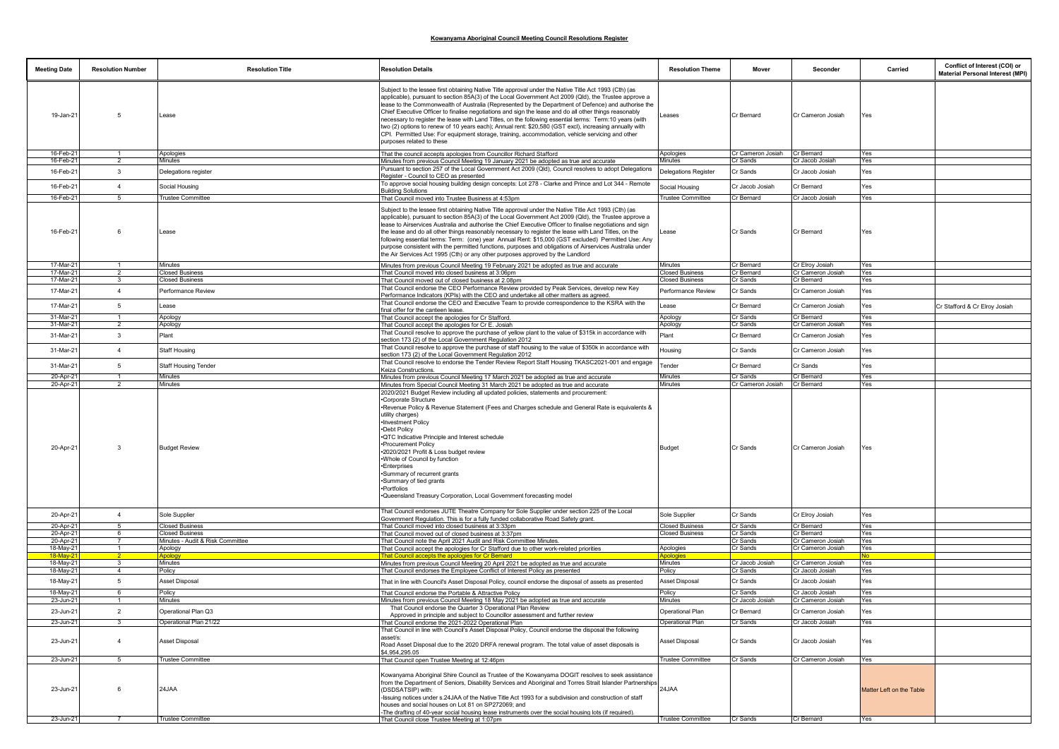| <b>Meeting Date</b>   | <b>Resolution Number</b>         | <b>Resolution Title</b>                                    | <b>Resolution Details</b>                                                                                                                                                                                                                                                                                                                                                                                                                                                                                                                                                                                                                                                                                                                                                            | <b>Resolution Theme</b>  | Mover                       | Seconder                             | Carried                  | Conflict of Interest (COI) or<br><b>Material Personal Interest (MPI)</b> |
|-----------------------|----------------------------------|------------------------------------------------------------|--------------------------------------------------------------------------------------------------------------------------------------------------------------------------------------------------------------------------------------------------------------------------------------------------------------------------------------------------------------------------------------------------------------------------------------------------------------------------------------------------------------------------------------------------------------------------------------------------------------------------------------------------------------------------------------------------------------------------------------------------------------------------------------|--------------------------|-----------------------------|--------------------------------------|--------------------------|--------------------------------------------------------------------------|
| 19-Jan-21             | -5                               | Lease                                                      | Subject to the lessee first obtaining Native Title approval under the Native Title Act 1993 (Cth) (as<br>applicable), pursuant to section 85A(3) of the Local Government Act 2009 (Qld), the Trustee approve a<br>lease to the Commonwealth of Australia (Represented by the Department of Defence) and authorise the<br>Chief Executive Officer to finalise negotiations and sign the lease and do all other things reasonably<br>necessary to register the lease with Land Titles, on the following essential terms: Term:10 years (with<br>two (2) options to renew of 10 years each); Annual rent: \$20,580 (GST excl), increasing annually with<br>CPI. Permitted Use: For equipment storage, training, accommodation, vehicle servicing and other<br>purposes related to these | Leases                   | Cr Bernard                  | Cr Cameron Josiah                    | Yes                      |                                                                          |
| 16-Feb-2              |                                  | Apologies                                                  | That the council accepts apologies from Councillor Richard Stafford                                                                                                                                                                                                                                                                                                                                                                                                                                                                                                                                                                                                                                                                                                                  | Apologies                | Cr Cameron Josiah           | Cr Bernard                           | Yes                      |                                                                          |
| 16-Feb-2              | $\overline{2}$                   | Minutes                                                    | Minutes from previous Council Meeting 19 January 2021 be adopted as true and accurate                                                                                                                                                                                                                                                                                                                                                                                                                                                                                                                                                                                                                                                                                                | Minutes                  | Cr Sands                    | Cr Jacob Josiah                      | Yes                      |                                                                          |
| 16-Feb-2              | $\mathbf{3}$                     | Delegations register                                       | Pursuant to section 257 of the Local Government Act 2009 (Qld), Council resolves to adopt Delegations<br>Register - Council to CEO as presented                                                                                                                                                                                                                                                                                                                                                                                                                                                                                                                                                                                                                                      | Delegations Register     | Cr Sands                    | Cr Jacob Josiah                      | Yes                      |                                                                          |
| 16-Feb-2              | $\overline{4}$                   | Social Housing                                             | To approve social housing building design concepts: Lot 278 - Clarke and Prince and Lot 344 - Remote<br><b>Building Solutions</b>                                                                                                                                                                                                                                                                                                                                                                                                                                                                                                                                                                                                                                                    | Social Housing           | Cr Jacob Josiah             | Cr Bernard                           | Yes                      |                                                                          |
| 16-Feb-2              | -5                               | <b>Trustee Committee</b>                                   | That Council moved into Trustee Business at 4:53pm                                                                                                                                                                                                                                                                                                                                                                                                                                                                                                                                                                                                                                                                                                                                   | <b>Trustee Committee</b> | Cr Bernard                  | Cr Jacob Josiah                      | Yes                      |                                                                          |
| 16-Feb-21             | 6                                | Lease                                                      | Subject to the lessee first obtaining Native Title approval under the Native Title Act 1993 (Cth) (as<br>applicable), pursuant to section 85A(3) of the Local Government Act 2009 (Qld), the Trustee approve a<br>lease to Airservices Australia and authorise the Chief Executive Officer to finalise negotiations and sign<br>the lease and do all other things reasonably necessary to register the lease with Land Titles, on the<br>following essential terms: Term: (one) year Annual Rent: \$15,000 (GST excluded) Permitted Use: Any<br>purpose consistent with the permitted functions, purposes and obligations of Airservices Australia under<br>the Air Services Act 1995 (Cth) or any other purposes approved by the Landlord                                           | Lease                    | Cr Sands                    | Cr Bernard                           | Yes                      |                                                                          |
| 17-Mar-21             |                                  | Minutes                                                    | Minutes from previous Council Meeting 19 February 2021 be adopted as true and accurate                                                                                                                                                                                                                                                                                                                                                                                                                                                                                                                                                                                                                                                                                               | Minutes                  | Cr Bernard                  | Cr Elroy Josiah                      | Yes                      |                                                                          |
| 17-Mar-2              | $\overline{\phantom{a}}$         | <b>Closed Business</b>                                     | That Council moved into closed business at 3:06pm                                                                                                                                                                                                                                                                                                                                                                                                                                                                                                                                                                                                                                                                                                                                    | <b>Closed Business</b>   | Cr Bernard                  | Cr Cameron Josiah                    | Yes                      |                                                                          |
| 17-Mar-2              |                                  | <b>Closed Business</b>                                     | That Council moved out of closed business at 2.08pm                                                                                                                                                                                                                                                                                                                                                                                                                                                                                                                                                                                                                                                                                                                                  | <b>Closed Business</b>   | Cr Sands                    | Cr Bernard                           | Yes                      |                                                                          |
| 17-Mar-2              | $\overline{4}$                   | Performance Review                                         | That Council endorse the CEO Performance Review provided by Peak Services, develop new Key<br>Performance Indicators (KPIs) with the CEO and undertake all other matters as agreed.<br>That Council endorse the CEO and Executive Team to provide correspondence to the KSRA with the                                                                                                                                                                                                                                                                                                                                                                                                                                                                                                | Performance Review       | Cr Sands                    | Cr Cameron Josiah                    | Yes                      |                                                                          |
| 17-Mar-21             | 5                                | ease                                                       | inal offer for the canteen lease.                                                                                                                                                                                                                                                                                                                                                                                                                                                                                                                                                                                                                                                                                                                                                    | Lease                    | Cr Bernard                  | Cr Cameron Josiah                    | Yes                      | Cr Stafford & Cr Elroy Josiah                                            |
| 31-Mar-2<br>31-Mar-2  | $\overline{1}$<br>$\overline{2}$ | Apology<br>Apology                                         | That Council accept the apologies for Cr Stafford.<br>That Council accept the apologies for Cr E. Josiah                                                                                                                                                                                                                                                                                                                                                                                                                                                                                                                                                                                                                                                                             | Apology<br>Apology       | Cr Sands<br>Cr Sands        | Cr Bernard<br>Cr Cameron Josiah      | Yes<br>Yes               |                                                                          |
|                       |                                  |                                                            | That Council resolve to approve the purchase of yellow plant to the value of \$315k in accordance with                                                                                                                                                                                                                                                                                                                                                                                                                                                                                                                                                                                                                                                                               |                          |                             |                                      |                          |                                                                          |
| 31-Mar-21             | $\mathbf{3}$                     | Plant                                                      | section 173 (2) of the Local Government Regulation 2012<br>That Council resolve to approve the purchase of staff housing to the value of \$350k in accordance with                                                                                                                                                                                                                                                                                                                                                                                                                                                                                                                                                                                                                   | Plant                    | Cr Bernard                  | Cr Cameron Josiah                    | Yes                      |                                                                          |
| 31-Mar-2              | $\overline{4}$                   | <b>Staff Housing</b>                                       | section 173 (2) of the Local Government Regulation 2012                                                                                                                                                                                                                                                                                                                                                                                                                                                                                                                                                                                                                                                                                                                              | Housing                  | Cr Sands                    | Cr Cameron Josiah                    | Yes                      |                                                                          |
| 31-Mar-2              | 5                                | Staff Housing Tender                                       | That Council resolve to endorse the Tender Review Report Staff Housing TKASC2021-001 and engage<br>Keiza Constructions.                                                                                                                                                                                                                                                                                                                                                                                                                                                                                                                                                                                                                                                              | Tender                   | Cr Bernard                  | Cr Sands                             | Yes                      |                                                                          |
| 20-Apr-2              | $\overline{1}$                   | <b>Minutes</b>                                             | Minutes from previous Council Meeting 17 March 2021 be adopted as true and accurate                                                                                                                                                                                                                                                                                                                                                                                                                                                                                                                                                                                                                                                                                                  | Minutes                  | Cr Sands                    | Cr Bernard                           | Yes                      |                                                                          |
| 20-Apr-21             |                                  | Minutes                                                    | Minutes from Special Council Meeting 31 March 2021 be adopted as true and accurate<br>2020/2021 Budget Review including all updated policies, statements and procurement:                                                                                                                                                                                                                                                                                                                                                                                                                                                                                                                                                                                                            | Minutes                  | Cr Cameron Josiah           | Cr Bernard                           | Yes                      |                                                                          |
| 20-Apr-21             | 3                                | <b>Budget Review</b>                                       | <b>Corporate Structure</b><br>•Revenue Policy & Revenue Statement (Fees and Charges schedule and General Rate is equivalents &<br>utility charges)<br>. Investment Policy<br>Debt Policy<br>.QTC Indicative Principle and Interest schedule<br>·Procurement Policy<br>2020/2021 Profit & Loss budget review<br>.Whole of Council by function<br>•Enterprises<br>Summary of recurrent grants<br>Summary of tied grants<br>•Portfolios<br>Oueensland Treasury Corporation, Local Government forecasting model                                                                                                                                                                                                                                                                          | <b>Budget</b>            | Cr Sands                    | Cr Cameron Josiah                    | Yes                      |                                                                          |
| 20-Apr-21             | $\overline{4}$                   | Sole Supplier                                              | That Council endorses JUTE Theatre Company for Sole Supplier under section 225 of the Local<br>Government Regulation. This is for a fully funded collaborative Road Safety grant.                                                                                                                                                                                                                                                                                                                                                                                                                                                                                                                                                                                                    | Sole Supplier            | Cr Sands                    | Cr Elroy Josiah                      | Yes                      |                                                                          |
| 20-Apr-21             | $5\overline{5}$                  | <b>Closed Business</b>                                     | That Council moved into closed business at 3:33pm                                                                                                                                                                                                                                                                                                                                                                                                                                                                                                                                                                                                                                                                                                                                    | <b>Closed Business</b>   | Cr Sands                    | Cr Bernard                           | Yes                      |                                                                          |
| 20-Apr-2<br>20-Apr-21 | 6<br>$\overline{7}$              | <b>Closed Business</b><br>Minutes - Audit & Risk Committee | That Council moved out of closed business at 3:37pm                                                                                                                                                                                                                                                                                                                                                                                                                                                                                                                                                                                                                                                                                                                                  | <b>Closed Business</b>   | Cr Sands<br>Cr Sands        | Cr Bernard<br>Cr Cameron Josiah      | Yes<br><b>Yes</b>        |                                                                          |
| 18-May-21             |                                  | Apology                                                    | That Council note the April 2021 Audit and Risk Committee Minutes.<br>That Council accept the apologies for Cr Stafford due to other work-related priorities                                                                                                                                                                                                                                                                                                                                                                                                                                                                                                                                                                                                                         | Apologies                | Cr Sands                    | Cr Cameron Josiah                    | Yes                      |                                                                          |
| 18-May-               | -2                               | <u>Apology</u>                                             | That Council accepts the apologies for Cr Bernard                                                                                                                                                                                                                                                                                                                                                                                                                                                                                                                                                                                                                                                                                                                                    | Apologie                 |                             |                                      | No.                      |                                                                          |
| 18-May-21             | 3                                | Minutes                                                    | Minutes from previous Council Meeting 20 April 2021 be adopted as true and accurate                                                                                                                                                                                                                                                                                                                                                                                                                                                                                                                                                                                                                                                                                                  | Minutes                  | Cr Jacob Josiah             | Cr Cameron Josiah                    | Yes                      |                                                                          |
| 18-May-2              | $\overline{4}$                   | Policy                                                     | That Council endorses the Employee Conflict of Interest Policy as presented                                                                                                                                                                                                                                                                                                                                                                                                                                                                                                                                                                                                                                                                                                          | Policy                   | Cr Sands                    | Cr Jacob Josiah                      | Yes                      |                                                                          |
| 18-May-21             | 5                                | Asset Disposal                                             | That in line with Council's Asset Disposal Policy, council endorse the disposal of assets as presented                                                                                                                                                                                                                                                                                                                                                                                                                                                                                                                                                                                                                                                                               | Asset Disposal           | Cr Sands                    | Cr Jacob Josiah                      | Yes                      |                                                                          |
| 18-May-2<br>23-Jun-2  | 6                                | Policy<br>Minutes                                          | That Council endorse the Portable & Attractive Policy<br>Minutes from previous Council Meeting 18 May 2021 be adopted as true and accurate                                                                                                                                                                                                                                                                                                                                                                                                                                                                                                                                                                                                                                           | Policy<br>Minutes        | Cr Sands<br>Cr Jacob Josiah | Cr Jacob Josiah<br>Cr Cameron Josiah | Yes<br>Yes               |                                                                          |
| 23-Jun-21             | $\overline{2}$                   | Operational Plan Q3                                        | That Council endorse the Quarter 3 Operational Plan Review<br>Approved in principle and subject to Councillor assessment and further review                                                                                                                                                                                                                                                                                                                                                                                                                                                                                                                                                                                                                                          | <b>Operational Plan</b>  | Cr Bernard                  | Cr Cameron Josiah                    | Yes                      |                                                                          |
| $23$ -Jun-2           |                                  | Operational Plan 21/22                                     | hat Council endorse the 2021-2022 Operational Plan                                                                                                                                                                                                                                                                                                                                                                                                                                                                                                                                                                                                                                                                                                                                   | <b>Operational Plan</b>  | $Tr$ Sands                  | Cr Jacob Jos                         |                          |                                                                          |
| 23-Jun-21             | $\overline{4}$                   | Asset Disposal                                             | That Council in line with Council's Asset Disposal Policy, Council endorse the disposal the following<br>asset/s:<br>Road Asset Disposal due to the 2020 DRFA renewal program. The total value of asset disposals is<br>\$4,954,295.05                                                                                                                                                                                                                                                                                                                                                                                                                                                                                                                                               | Asset Disposal           | Cr Sands                    | Cr Jacob Josiah                      | Yes                      |                                                                          |
| 23-Jun-21             | -5                               | <b>Trustee Committee</b>                                   | That Council open Trustee Meeting at 12:46pm                                                                                                                                                                                                                                                                                                                                                                                                                                                                                                                                                                                                                                                                                                                                         | <b>Trustee Committee</b> | Cr Sands                    | Cr Cameron Josiah                    | Yes                      |                                                                          |
|                       |                                  |                                                            |                                                                                                                                                                                                                                                                                                                                                                                                                                                                                                                                                                                                                                                                                                                                                                                      |                          |                             |                                      |                          |                                                                          |
| 23-Jun-21             | 6                                | 24JAA                                                      | Kowanyama Aboriginal Shire Council as Trustee of the Kowanyama DOGIT resolves to seek assistance<br>from the Department of Seniors, Disability Services and Aboriginal and Torres Strait Islander Partnerships<br>(DSDSATSIP) with:<br>.<br>-Issuing notices under s.24JAA of the Native Title Act 1993 for a subdivision and construction of staff<br>houses and social houses on Lot 81 on SP272069: and<br>The drafting of 40-year social housing lease instruments over the social housing lots (if required).                                                                                                                                                                                                                                                                   | 24JAA                    |                             |                                      | Matter Left on the Table |                                                                          |
| 23-Jun-21             |                                  | <b>Trustee Committee</b>                                   | That Council close Trustee Meeting at 1:07pm                                                                                                                                                                                                                                                                                                                                                                                                                                                                                                                                                                                                                                                                                                                                         | <b>Trustee Committee</b> | Cr Sands                    | Cr Bernard                           | Yes                      |                                                                          |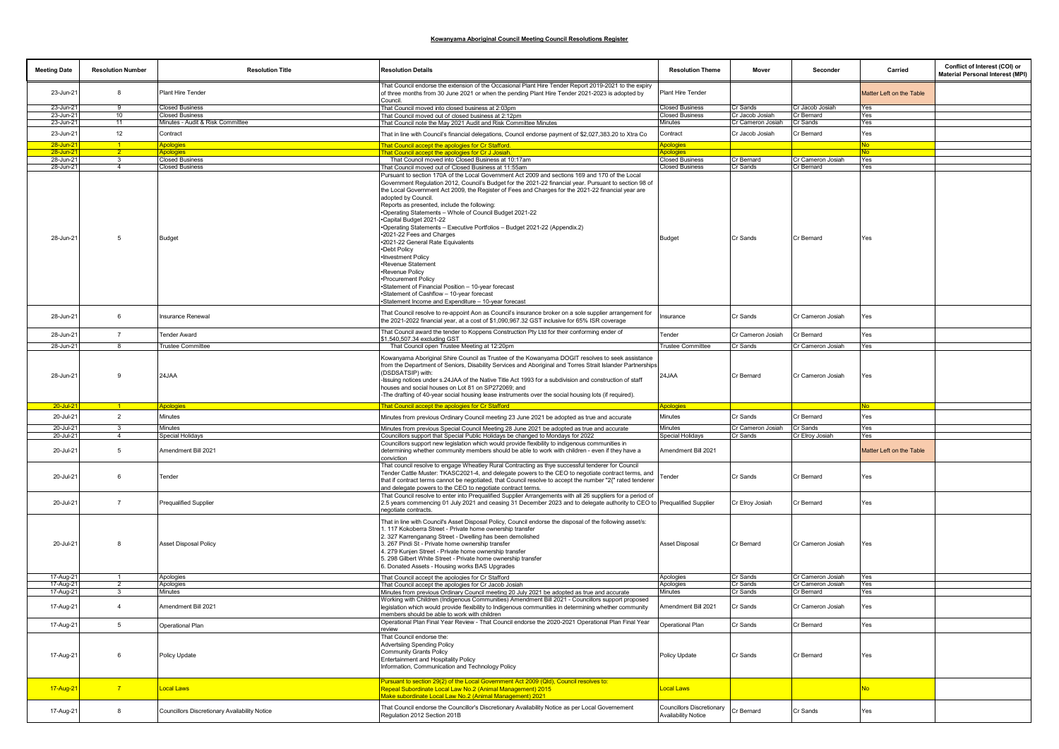| <b>Meeting Date</b>    | <b>Resolution Number</b> | <b>Resolution Title</b>                       | <b>Resolution Details</b>                                                                                                                                                                                                                                                                                                                                                                                                                                                                                                                                                                                                                                                                                                                                                                                                                                                                      | <b>Resolution Theme</b>                                 | Mover                | Seconder                        | Carried                  | Conflict of Interest (COI) or<br><b>Material Personal Interest (MPI)</b> |
|------------------------|--------------------------|-----------------------------------------------|------------------------------------------------------------------------------------------------------------------------------------------------------------------------------------------------------------------------------------------------------------------------------------------------------------------------------------------------------------------------------------------------------------------------------------------------------------------------------------------------------------------------------------------------------------------------------------------------------------------------------------------------------------------------------------------------------------------------------------------------------------------------------------------------------------------------------------------------------------------------------------------------|---------------------------------------------------------|----------------------|---------------------------------|--------------------------|--------------------------------------------------------------------------|
| 23-Jun-21              | 8                        | Plant Hire Tender                             | That Council endorse the extension of the Occasional Plant Hire Tender Report 2019-2021 to the expiry<br>of three months from 30 June 2021 or when the pending Plant Hire Tender 2021-2023 is adopted by<br>Council.                                                                                                                                                                                                                                                                                                                                                                                                                                                                                                                                                                                                                                                                           | Plant Hire Tender                                       |                      |                                 | Matter Left on the Table |                                                                          |
| 23-Jun-2               | 9                        | Closed Business                               | That Council moved into closed business at 2:03pm                                                                                                                                                                                                                                                                                                                                                                                                                                                                                                                                                                                                                                                                                                                                                                                                                                              | <b>Closed Business</b>                                  | Cr Sands             | Cr Jacob Josiah                 | Yes                      |                                                                          |
| 23-Jun-2               | 10                       | Closed Business                               | That Council moved out of closed business at 2:12pm                                                                                                                                                                                                                                                                                                                                                                                                                                                                                                                                                                                                                                                                                                                                                                                                                                            | <b>Closed Business</b>                                  | Cr Jacob Josiah      | Cr Bernard                      | Yes                      |                                                                          |
| 23-Jun-2               | 11                       | Minutes - Audit & Risk Committee              | That Council note the May 2021 Audit and Risk Committee Minutes                                                                                                                                                                                                                                                                                                                                                                                                                                                                                                                                                                                                                                                                                                                                                                                                                                | Minutes                                                 | Cr Cameron Josiah    | Cr Sands                        | Yes                      |                                                                          |
| 23-Jun-21              | 12                       | Contract                                      | That in line with Council's financial delegations, Council endorse payment of \$2,027,383.20 to Xtra Co                                                                                                                                                                                                                                                                                                                                                                                                                                                                                                                                                                                                                                                                                                                                                                                        | Contract                                                | Cr Jacob Josiah      | Cr Bernard                      | Yes                      |                                                                          |
| $28 - Jun - 2$         |                          | Apologies                                     | That Council accept the apologies for Cr Stafford.                                                                                                                                                                                                                                                                                                                                                                                                                                                                                                                                                                                                                                                                                                                                                                                                                                             | <b>Apologies</b>                                        |                      |                                 | <u>No</u>                |                                                                          |
| 28-Jun-2               |                          | <b>Apologies</b>                              | That Council accept the apologies for Cr J Josiah                                                                                                                                                                                                                                                                                                                                                                                                                                                                                                                                                                                                                                                                                                                                                                                                                                              | <b>Apologies</b>                                        |                      |                                 | <b>No</b>                |                                                                          |
| 28-Jun-21              | $\mathbf{3}$             | <b>Closed Business</b>                        | That Council moved into Closed Business at 10:17am                                                                                                                                                                                                                                                                                                                                                                                                                                                                                                                                                                                                                                                                                                                                                                                                                                             | <b>Closed Business</b>                                  | Cr Bernard           | Cr Cameron Josiah               | Yes                      |                                                                          |
| 28-Jun-21              | $\Delta$                 | <b>Closed Business</b>                        | That Council moved out of Closed Business at 11:55am                                                                                                                                                                                                                                                                                                                                                                                                                                                                                                                                                                                                                                                                                                                                                                                                                                           | <b>Closed Business</b>                                  | Cr Sands             | Cr Bernard                      | Yes                      |                                                                          |
| 28-Jun-21              | 5                        | <b>Budget</b>                                 | Pursuant to section 170A of the Local Government Act 2009 and sections 169 and 170 of the Local<br>Government Regulation 2012, Council's Budget for the 2021-22 financial year. Pursuant to section 98 of<br>the Local Government Act 2009, the Register of Fees and Charges for the 2021-22 financial year are<br>adopted by Council.<br>Reports as presented, include the following:<br>*Operating Statements - Whole of Council Budget 2021-22<br>.Capital Budget 2021-22<br>•Operating Statements - Executive Portfolios - Budget 2021-22 (Appendix.2)<br>*2021-22 Fees and Charges<br>*2021-22 General Rate Equivalents<br>•Debt Policy<br>·Investment Policy<br>·Revenue Statement<br>·Revenue Policy<br>·Procurement Policy<br>-Statement of Financial Position - 10-year forecast<br>-Statement of Cashflow - 10-year forecast<br>•Statement Income and Expenditure - 10-year forecast | Budget                                                  | Cr Sands             | Cr Bernard                      | Yes                      |                                                                          |
| 28-Jun-21              | 6                        | Insurance Renewal                             | That Council resolve to re-appoint Aon as Council's insurance broker on a sole supplier arrangement for<br>the 2021-2022 financial year, at a cost of \$1,090,967.32 GST inclusive for 65% ISR coverage                                                                                                                                                                                                                                                                                                                                                                                                                                                                                                                                                                                                                                                                                        | nsurance                                                | Cr Sands             | Cr Cameron Josiah               | Yes                      |                                                                          |
| 28-Jun-21              | $\overline{7}$           | <b>Tender Award</b>                           | That Council award the tender to Koppens Construction Pty Ltd for their conforming ender of<br>\$1,540,507.34 excluding GST                                                                                                                                                                                                                                                                                                                                                                                                                                                                                                                                                                                                                                                                                                                                                                    | Tender                                                  | Cr Cameron Josiah    | Cr Bernard                      | Yes                      |                                                                          |
| 28-Jun-2               |                          | <b>Trustee Committee</b>                      | That Council open Trustee Meeting at 12:20pm                                                                                                                                                                                                                                                                                                                                                                                                                                                                                                                                                                                                                                                                                                                                                                                                                                                   | Trustee Committee                                       | Cr Sands             | Cr Cameron Josiah               | Yes                      |                                                                          |
| 28-Jun-21              | 9                        | 24JAA                                         | Kowanyama Aboriginal Shire Council as Trustee of the Kowanyama DOGIT resolves to seek assistance<br>from the Department of Seniors, Disability Services and Aboriginal and Torres Strait Islander Partnerships<br>(DSDSATSIP) with:<br>-Issuing notices under s.24JAA of the Native Title Act 1993 for a subdivision and construction of staff<br>houses and social houses on Lot 81 on SP272069; and<br>-The drafting of 40-year social housing lease instruments over the social housing lots (if required).                                                                                                                                                                                                                                                                                                                                                                                 | 24JAA                                                   | Cr Bernard           | Cr Cameron Josiah               | Yes                      |                                                                          |
| $20 -$ Jul-2           |                          | Apologies                                     | That Council accept the apologies for Cr Stafford                                                                                                                                                                                                                                                                                                                                                                                                                                                                                                                                                                                                                                                                                                                                                                                                                                              | <b>Apologies</b>                                        |                      |                                 | No                       |                                                                          |
| 20-Jul-21              | $\overline{2}$           | Minutes                                       | Minutes from previous Ordinary Council meeting 23 June 2021 be adopted as true and accurate                                                                                                                                                                                                                                                                                                                                                                                                                                                                                                                                                                                                                                                                                                                                                                                                    | Minutes                                                 | Cr Sands             | Cr Bernard                      | Yes                      |                                                                          |
| 20-Jul-21              | $\mathbf{B}$             | Minutes                                       | Minutes from previous Special Council Meeting 28 June 2021 be adopted as true and accurate                                                                                                                                                                                                                                                                                                                                                                                                                                                                                                                                                                                                                                                                                                                                                                                                     | Minutes                                                 | Cr Cameron Josiah    | Cr Sands                        | Yes                      |                                                                          |
| 20-Jul-2               | $\overline{4}$           | Special Holidays                              | Councillors support that Special Public Holidays be changed to Mondays for 2022                                                                                                                                                                                                                                                                                                                                                                                                                                                                                                                                                                                                                                                                                                                                                                                                                | Special Holidays                                        | Cr Sands             | Cr Elroy Josiah                 | Yes                      |                                                                          |
|                        |                          |                                               | Councillors support new legislation which would provide flexibility to indigenous communities in                                                                                                                                                                                                                                                                                                                                                                                                                                                                                                                                                                                                                                                                                                                                                                                               |                                                         |                      |                                 |                          |                                                                          |
| 20-Jul-21              | 5                        | Amendment Bill 2021                           | determining whether community members should be able to work with children - even if they have a<br>conviction                                                                                                                                                                                                                                                                                                                                                                                                                                                                                                                                                                                                                                                                                                                                                                                 | Amendment Bill 2021                                     |                      |                                 | Matter Left on the Table |                                                                          |
| 20-Jul-21              | 6                        | Tender                                        | That council resolve to engage Wheatley Rural Contracting as thye successful tenderer for Council<br>Tender Cattle Muster: TKASC2021-4, and delegate powers to the CEO to negotiate contract terms, and<br>that if contract terms cannot be negotiated, that Council resolve to accept the number "2{" rated tenderer<br>and delegate powers to the CEO to negotiate contract terms.                                                                                                                                                                                                                                                                                                                                                                                                                                                                                                           | Tender                                                  | Cr Sands             | Cr Bernard                      | Yes                      |                                                                          |
| 20-Jul-21              | $\overline{7}$           | Prequalified Supplier                         | That Council resolve to enter into Prequalified Supplier Arrangements with all 26 suppliers for a period of<br>2.5 years commencing 01 July 2021 and ceasing 31 December 2023 and to delegate authority to CEO to Prequalified Supplier<br>negotiate contracts.                                                                                                                                                                                                                                                                                                                                                                                                                                                                                                                                                                                                                                |                                                         | Cr Elroy Josiah      | Cr Bernard                      | Yes                      |                                                                          |
| 20-Jul-21              |                          | <b>Asset Disposal Policy</b>                  | That in line with Council's Asset Disposal Policy, Council endorse the disposal of the following asset/s:<br>. 117 Kokoberra Street - Private home ownership transfer<br>2. 327 Karrenganang Street - Dwelling has been demolished<br>3. 267 Pindi St - Private home ownership transfer<br>1. 279 Kunjen Street - Private home ownership transfer<br>5. 298 Gilbert White Street - Private home ownership transfer<br>6. Donated Assets - Housing works BAS Upgrades                                                                                                                                                                                                                                                                                                                                                                                                                           | <b>Asset Disposal</b>                                   | Cr Bernard           | Cr Cameron Josiah               | Yes                      |                                                                          |
| 17-Aug-21              |                          | Apologies                                     | That Council accept the apologies for Cr Stafford                                                                                                                                                                                                                                                                                                                                                                                                                                                                                                                                                                                                                                                                                                                                                                                                                                              | Apologies                                               | Cr Sands             | Cr Cameron Josiah               | Yes                      |                                                                          |
| 17-Aug-21<br>17-Aug-21 | 3                        | Apologies<br>Minutes                          | That Council accept the apologies for Cr Jacob Josiah<br>Minutes from previous Ordinary Council meeting 20 July 2021 be adopted as true and accurate                                                                                                                                                                                                                                                                                                                                                                                                                                                                                                                                                                                                                                                                                                                                           | Apologies<br>Minutes                                    | Cr Sands<br>Cr Sands | Cr Cameron Josiah<br>Cr Bernard | Yes<br>Yes               |                                                                          |
| 17-Aug-21              | $\mathbf{A}$             | Amendment Bill 2021                           | Working with Children (Indigenous Communities) Amendment Bill 2021 - Councillors support proposed<br>legislation which would provide flexibility to Indigenous communities in determining whether community<br>members should be able to work with children                                                                                                                                                                                                                                                                                                                                                                                                                                                                                                                                                                                                                                    | Amendment Bill 2021                                     | Cr Sands             | Cr Cameron Josiah               | Yes                      |                                                                          |
| 17-Aug-21              | 5                        | Operational Plan                              | Operational Plan Final Year Review - That Council endorse the 2020-2021 Operational Plan Final Year                                                                                                                                                                                                                                                                                                                                                                                                                                                                                                                                                                                                                                                                                                                                                                                            | Operational Plan                                        | Cr Sands             | Cr Bernard                      | Yes                      |                                                                          |
| 17-Aug-21              | 6                        | Policy Update                                 | review<br>That Council endorse the:<br><b>Advertsiing Spending Policy</b><br>Community Grants Policy<br>Entertainment and Hospitality Policy<br>Information, Communication and Technology Policy                                                                                                                                                                                                                                                                                                                                                                                                                                                                                                                                                                                                                                                                                               | Policy Update                                           | Cr Sands             | Cr Bernard                      | Yes                      |                                                                          |
| 17-Aug-21              | $\overline{7}$           | Local Laws                                    | Pursuant to section 29(2) of the Local Government Act 2009 (QId). Council resolves to:<br>Repeal Subordinate Local Law No.2 (Animal Management) 2015<br>Make subordinate Local Law No.2 (Animal Management) 2021                                                                                                                                                                                                                                                                                                                                                                                                                                                                                                                                                                                                                                                                               | Local Laws                                              |                      |                                 | <b>No</b>                |                                                                          |
| 17-Aug-21              | 8                        | Councillors Discretionary Availability Notice | That Council endorse the Councillor's Discretionary Availability Notice as per Local Governement<br>Regulation 2012 Section 201B                                                                                                                                                                                                                                                                                                                                                                                                                                                                                                                                                                                                                                                                                                                                                               | Councillors Discretionary<br><b>Availability Notice</b> | Cr Bernard           | Cr Sands                        | Yes                      |                                                                          |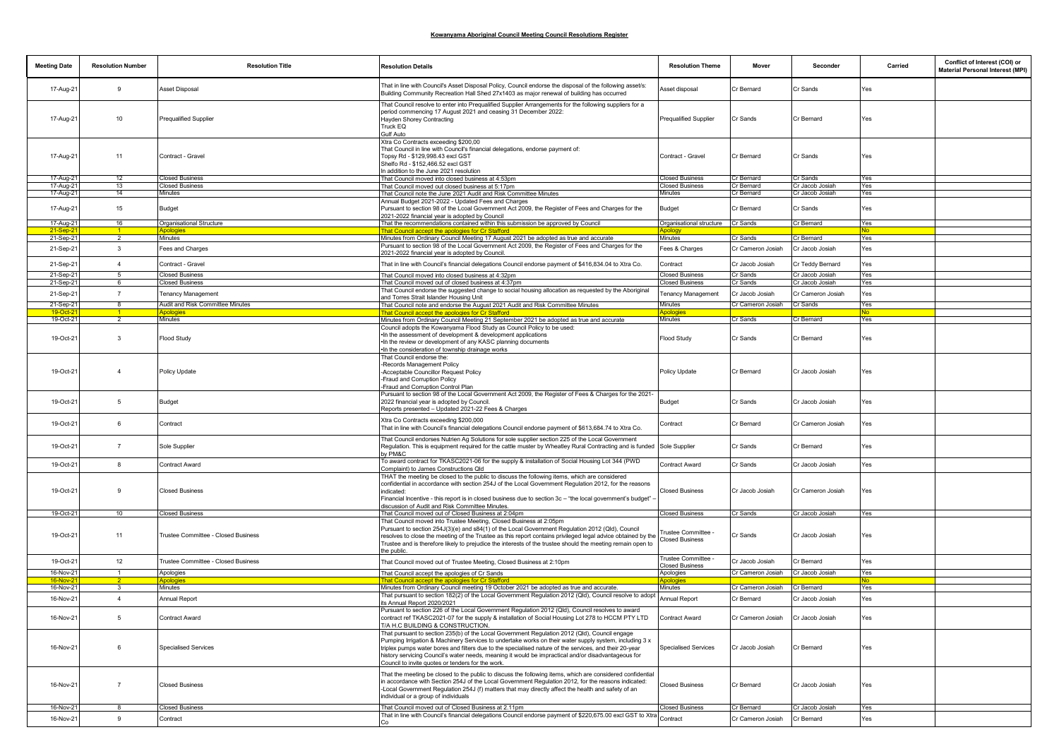| <b>Meeting Date</b>    | <b>Resolution Number</b> | <b>Resolution Title</b>             | <b>Resolution Details</b>                                                                                                                                                                                                                                                                                                                                                                                                                                                     | <b>Resolution Theme</b>                       | Mover                         | Seconder                      | Carried    | Conflict of Interest (COI) or<br>Material Personal Interest (MPI) |
|------------------------|--------------------------|-------------------------------------|-------------------------------------------------------------------------------------------------------------------------------------------------------------------------------------------------------------------------------------------------------------------------------------------------------------------------------------------------------------------------------------------------------------------------------------------------------------------------------|-----------------------------------------------|-------------------------------|-------------------------------|------------|-------------------------------------------------------------------|
| 17-Aug-21              | 9                        | Asset Disposal                      | That in line with Council's Asset Disposal Policy, Council endorse the disposal of the following asset/s:<br>Building Community Recreation Hall Shed 27x1403 as major renewal of building has occurred                                                                                                                                                                                                                                                                        | Asset disposal                                | Cr Bernard                    | Cr Sands                      | Yes        |                                                                   |
| 17-Aug-21              | 10                       | <b>Prequalified Supplier</b>        | That Council resolve to enter into Prequalified Supplier Arrangements for the following suppliers for a<br>period commencing 17 August 2021 and ceasing 31 December 2022:<br>Hayden Shorey Contracting<br>Truck EQ<br>Gulf Auto                                                                                                                                                                                                                                               | Prequalified Supplier                         | Cr Sands                      | Cr Bernard                    | Yes        |                                                                   |
| 17-Aug-21              | 11                       | Contract - Gravel                   | Xtra Co Contracts exceeding \$200,00<br>That Council in line with Council's financial delegations, endorse payment of:<br>Topsy Rd - \$129,998.43 excl GST<br>Shelfo Rd - \$152,466.52 excl GST<br>n addition to the June 2021 resolution                                                                                                                                                                                                                                     | Contract - Gravel                             | Cr Bernard                    | Cr Sands                      | Yes        |                                                                   |
| 17-Aug-21              | 12                       | <b>Closed Business</b>              | That Council moved into closed business at 4:53pm                                                                                                                                                                                                                                                                                                                                                                                                                             | <b>Closed Business</b>                        | Cr Bernard                    | Cr Sands                      | Yes        |                                                                   |
| 17-Aug-21              | 13                       | <b>Closed Business</b>              | That Council moved out closed business at 5:17pm                                                                                                                                                                                                                                                                                                                                                                                                                              | <b>Closed Business</b>                        | Cr Bernard                    | Cr Jacob Josiah               | Yes        |                                                                   |
| 17-Aug-21              | 14                       | <b>Minutes</b>                      | That Council note the June 2021 Audit and Risk Committee Minutes                                                                                                                                                                                                                                                                                                                                                                                                              | Minutes                                       | Cr Bernard                    | Cr Jacob Josiah               | Yes        |                                                                   |
| 17-Aug-21              | 15                       | Budget                              | Annual Budget 2021-2022 - Updated Fees and Charges<br>Pursuant to section 98 of the Lcoal Government Act 2009, the Register of Fees and Charges for the<br>2021-2022 financial year is adopted by Council                                                                                                                                                                                                                                                                     | Budget                                        | Cr Bernard                    | Cr Sands                      | Yes        |                                                                   |
| 17-Aug-21              | 16                       | Organisational Structure            | That the recommendations contained within this submission be approved by Council                                                                                                                                                                                                                                                                                                                                                                                              | Organisational structure                      | Cr Sands                      | Cr Bernard                    | Yes        |                                                                   |
| $21-Sep-2$             |                          | Apologies                           | hat Council accept the apologies for Cr Stafford                                                                                                                                                                                                                                                                                                                                                                                                                              | pology.                                       |                               |                               | No         |                                                                   |
| 21-Sep-21<br>21-Sep-21 | 2<br>$\mathbf{3}$        | Minutes<br>Fees and Charges         | Minutes from Ordinary Council Meeting 17 August 2021 be adopted as true and accurate<br>Pursuant to section 98 of the Local Government Act 2009, the Register of Fees and Charges for the<br>2021-2022 financial year is adopted by Council.                                                                                                                                                                                                                                  | Minutes<br>Fees & Charges                     | Cr Sands<br>Cr Cameron Josiah | Cr Bernard<br>Cr Jacob Josiah | Yes<br>Yes |                                                                   |
| 21-Sep-21              | $\overline{4}$           | Contract - Gravel                   | That in line with Council's financial delegations Council endorse payment of \$416,834.04 to Xtra Co.                                                                                                                                                                                                                                                                                                                                                                         | Contract                                      | Cr Jacob Josiah               | Cr Teddy Bernard              | Yes        |                                                                   |
| 21-Sep-21              | -5                       | <b>Closed Business</b>              | That Council moved into closed business at 4:32pm                                                                                                                                                                                                                                                                                                                                                                                                                             | <b>Closed Business</b>                        | Cr Sands                      | Cr Jacob Josiah               | Yes        |                                                                   |
| 21-Sep-21              | 6                        | <b>Closed Business</b>              | That Council moved out of closed business at 4:37pm                                                                                                                                                                                                                                                                                                                                                                                                                           | <b>Closed Business</b>                        | Cr Sands                      | Cr Jacob Josiah               | Yes        |                                                                   |
| 21-Sep-21              | $\overline{7}$           | <b>Tenancy Management</b>           | That Council endorse the suggested change to social housing allocation as requested by the Aboriginal                                                                                                                                                                                                                                                                                                                                                                         | <b>Tenancy Management</b>                     | Cr Jacob Josiah               | Cr Cameron Josiah             | Yes        |                                                                   |
| 21-Sep-21              | $^{\circ}$               | Audit and Risk Committee Minutes    | and Torres Strait Islander Housing Unit<br>That Council note and endorse the August 2021 Audit and Risk Committee Minutes                                                                                                                                                                                                                                                                                                                                                     | Minutes                                       | Cr Cameron Josiah             | Cr Sands                      | Yes        |                                                                   |
| $19$ -Oct-             |                          | Apologie                            | <u> That Council accept the apologies for Cr Stafford</u>                                                                                                                                                                                                                                                                                                                                                                                                                     | Apologies                                     |                               |                               | Nο         |                                                                   |
| 19-Oct-21              | 2                        | <b>Minutes</b>                      | Minutes from Ordinary Council Meeting 21 September 2021 be adopted as true and accurate                                                                                                                                                                                                                                                                                                                                                                                       | Minutes                                       | Cr Sands                      | Cr Bernard                    | Yes        |                                                                   |
|                        |                          |                                     | Council adopts the Kowanyama Flood Study as Council Policy to be used:                                                                                                                                                                                                                                                                                                                                                                                                        |                                               |                               |                               |            |                                                                   |
| 19-Oct-21              | $\mathbf{3}$             | Flood Study                         | . In the assessment of development & development applications<br>. In the review or development of any KASC planning documents<br>. In the consideration of township drainage works                                                                                                                                                                                                                                                                                           | Flood Study                                   | Cr Sands                      | Cr Bernard                    | Yes        |                                                                   |
| 19-Oct-21              | $\overline{4}$           | Policy Update                       | That Council endorse the:<br>-Records Management Policy<br>-Acceptable Councillor Request Policy<br>-Eraud and Corruption Policy<br>-Eraud and Corruption Control Plan                                                                                                                                                                                                                                                                                                        | Policy Update                                 | Cr Bernard                    | Cr Jacob Josiah               | Yes        |                                                                   |
| 19-Oct-21              | 5                        | Budget                              | Pursuant to section 98 of the Local Government Act 2009, the Register of Fees & Charges for the 2021-<br>2022 financial year is adopted by Council.<br>Reports presented - Updated 2021-22 Fees & Charges                                                                                                                                                                                                                                                                     | Budget                                        | Cr Sands                      | Cr Jacob Josiah               | Yes        |                                                                   |
| 19-Oct-21              | 6                        | Contract                            | Xtra Co Contracts exceeding \$200,000<br>That in line with Council's financial delegations Council endorse payment of \$613,684.74 to Xtra Co.                                                                                                                                                                                                                                                                                                                                | Contract                                      | Cr Bernard                    | Cr Cameron Josiah             | Yes        |                                                                   |
| 19-Oct-21              | $\overline{7}$           | Sole Supplier                       | That Council endorses Nutrien Ag Solutions for sole supplier section 225 of the Local Government<br>Regulation. This is equipment required for the cattle muster by Wheatley Rural Contracting and is funded<br>by PM&C                                                                                                                                                                                                                                                       | Sole Supplier                                 | Cr Sands                      | Cr Bernard                    | Yes        |                                                                   |
| 19-Oct-21              | 8                        | Contract Award                      | To award contract for TKASC2021-06 for the supply & installation of Social Housing Lot 344 (PWD<br>Complaint) to James Constructions Qld                                                                                                                                                                                                                                                                                                                                      | Contract Award                                | Cr Sands                      | Cr Jacob Josiah               | Yes        |                                                                   |
| 19-Oct-21              | 9                        | <b>Closed Business</b>              | THAT the meeting be closed to the public to discuss the following items, which are considered<br>confidential in accordance with section 254J of the Local Government Regulation 2012, for the reasons<br>indicated<br>Financial Incentive - this report is in closed business due to section 3c - "the local government's budget"<br>discussion of Audit and Risk Committee Minutes                                                                                          | <b>Closed Business</b>                        | Cr Jacob Josiah               | Cr Cameron Josiah             | Yes        |                                                                   |
| 19-Oct-21              | 10 <sup>10</sup>         | <b>Closed Business</b>              | That Council moved out of Closed Business at 2:04pm                                                                                                                                                                                                                                                                                                                                                                                                                           | <b>Closed Business</b>                        | Cr Sands                      | Cr Jacob Josiah               | Yes        |                                                                   |
| 19-Oct-21              | 11                       | Trustee Committee - Closed Business | That Council moved into Trustee Meeting, Closed Business at 2:05pm<br>Pursuant to section 254J(3)(e) and s84(1) of the Local Government Regulation 2012 (Qld), Council<br>resolves to close the meeting of the Trustee as this report contains privileged legal advice obtained by the<br>Trustee and is therefore likely to prejudice the interests of the trustee should the meeting remain open to<br>the public.                                                          | rustee Committee -<br><b>Closed Business</b>  | Cr Sands                      | Cr Jacob Josiah               | Yes        |                                                                   |
| 19-Oct-21              | 12                       | Trustee Committee - Closed Business | That Council moved out of Trustee Meeting, Closed Business at 2:10pm                                                                                                                                                                                                                                                                                                                                                                                                          | Frustee Committee -<br><b>Closed Business</b> | Cr Jacob Josiah               | Cr Bernard                    | Yes        |                                                                   |
| 16-Nov-21              | $\overline{1}$           | Apologies                           | That Council accept the apologies of Cr Sands                                                                                                                                                                                                                                                                                                                                                                                                                                 | Apologies                                     | Cr Cameron Josiah             | Cr Jacob Josiah               | Yes        |                                                                   |
|                        |                          |                                     | hat Council accept the apologies for Cr Stafford                                                                                                                                                                                                                                                                                                                                                                                                                              |                                               |                               |                               |            |                                                                   |
| 16-Nov-21              | $\mathbf{3}$             | Minutes                             | Minutes from Ordinary Council meeting 19 October 2021 be adopted as true and accurate.                                                                                                                                                                                                                                                                                                                                                                                        | Minutes                                       | Cr Cameron Josiah             | Cr Bernard                    | Yes        |                                                                   |
| 16-Nov-21              | $\overline{4}$           | Annual Report                       | That pursuant to section 182(2) of the Local Government Regulation 2012 (Qld), Council resolve to adopt<br>ts Annual Report 2020/2021                                                                                                                                                                                                                                                                                                                                         | Annual Report                                 | Cr Bernard                    | Cr Jacob Josiah               | Yes        |                                                                   |
| 16-Nov-21              |                          | Contract Award                      | Pursuant to section 226 of the Local Government Regulation 2012 (Qld), Council resolves to award<br>ontract ref TKASC2021-07 for the supply & installation of Social Housing Lot 278 to HCCM PTY LTD<br>T/A H.C BUILDING & CONSTRUCTION.                                                                                                                                                                                                                                      | Contract Award                                | Cr Cameron Josiah             | Cr. Jacob Josiah              |            |                                                                   |
| 16-Nov-21              | 6                        | <b>Specialised Services</b>         | That pursuant to section 235(b) of the Local Government Regulation 2012 (Qld), Council engage<br>Pumping Irrigation & Machinery Services to undertake works on their water supply system, including 3 x<br>triplex pumps water bores and filters due to the specialised nature of the services, and their 20-year<br>history servicing Council's water needs, meaning it would be impractical and/or disadvantageous for<br>Council to invite quotes or tenders for the work. | <b>Specialised Services</b>                   | Cr Jacob Josiah               | Cr Bernard                    | Yes        |                                                                   |
| 16-Nov-21              | $\overline{7}$           | <b>Closed Business</b>              | That the meeting be closed to the public to discuss the following items, which are considered confidential<br>in accordance with Section 254J of the Local Government Regulation 2012, for the reasons indicated:<br>-Eocal Government Regulation 254J (f) matters that may directly affect the health and safety of an<br>individual or a group of individuals                                                                                                               | <b>Closed Business</b>                        | Cr Bernard                    | Cr Jacob Josiah               | Yes        |                                                                   |
| 16-Nov-21              |                          | <b>Closed Business</b>              | That Council moved out of Closed Business at 2.11pm                                                                                                                                                                                                                                                                                                                                                                                                                           | <b>Closed Business</b>                        | Cr Bernard                    | Cr Jacob Josiah               | Yes        |                                                                   |
| 16-Nov-21              | 9                        | Contract                            | That in line with Council's financial delegations Council endorse payment of \$220,675.00 excl GST to Xtra                                                                                                                                                                                                                                                                                                                                                                    | Contract                                      | Cr Cameron Josiah             | Cr Bernard                    | Yes        |                                                                   |